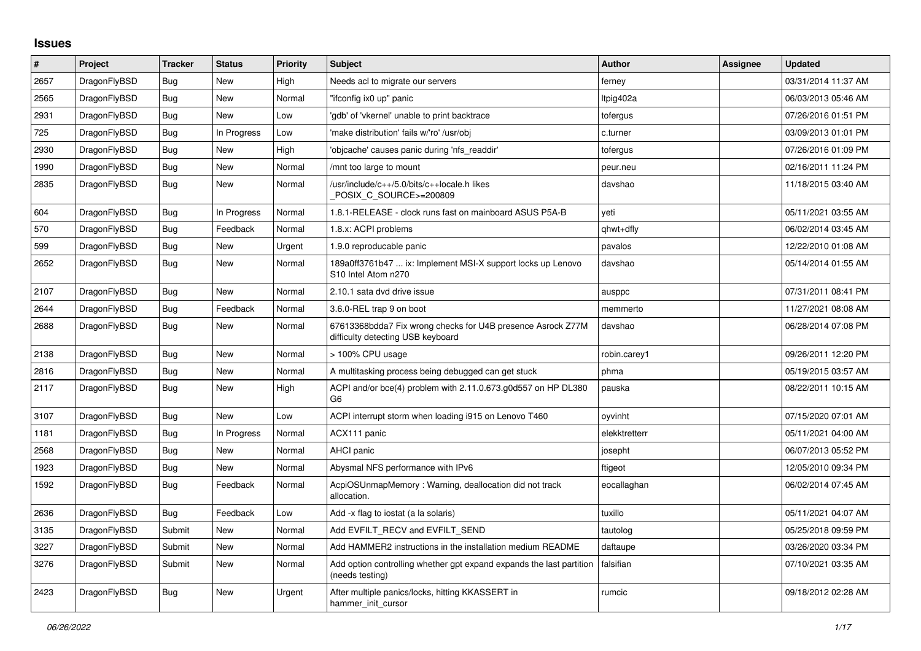## **Issues**

| $\vert$ # | Project      | <b>Tracker</b> | <b>Status</b> | <b>Priority</b> | <b>Subject</b>                                                                                   | <b>Author</b> | Assignee | <b>Updated</b>      |
|-----------|--------------|----------------|---------------|-----------------|--------------------------------------------------------------------------------------------------|---------------|----------|---------------------|
| 2657      | DragonFlyBSD | <b>Bug</b>     | <b>New</b>    | High            | Needs acl to migrate our servers                                                                 | ferney        |          | 03/31/2014 11:37 AM |
| 2565      | DragonFlyBSD | <b>Bug</b>     | <b>New</b>    | Normal          | "ifconfig ix0 up" panic                                                                          | ltpig402a     |          | 06/03/2013 05:46 AM |
| 2931      | DragonFlyBSD | <b>Bug</b>     | <b>New</b>    | Low             | 'gdb' of 'vkernel' unable to print backtrace                                                     | tofergus      |          | 07/26/2016 01:51 PM |
| 725       | DragonFlyBSD | Bug            | In Progress   | Low             | 'make distribution' fails w/'ro' /usr/obj                                                        | c.turner      |          | 03/09/2013 01:01 PM |
| 2930      | DragonFlyBSD | <b>Bug</b>     | New           | High            | 'objcache' causes panic during 'nfs_readdir'                                                     | tofergus      |          | 07/26/2016 01:09 PM |
| 1990      | DragonFlyBSD | Bug            | <b>New</b>    | Normal          | mnt too large to mount                                                                           | peur.neu      |          | 02/16/2011 11:24 PM |
| 2835      | DragonFlyBSD | Bug            | <b>New</b>    | Normal          | /usr/include/c++/5.0/bits/c++locale.h likes<br>POSIX_C_SOURCE>=200809                            | davshao       |          | 11/18/2015 03:40 AM |
| 604       | DragonFlyBSD | Bug            | In Progress   | Normal          | 1.8.1-RELEASE - clock runs fast on mainboard ASUS P5A-B                                          | veti          |          | 05/11/2021 03:55 AM |
| 570       | DragonFlyBSD | Bug            | Feedback      | Normal          | 1.8.x: ACPI problems                                                                             | qhwt+dfly     |          | 06/02/2014 03:45 AM |
| 599       | DragonFlyBSD | <b>Bug</b>     | <b>New</b>    | Urgent          | 1.9.0 reproducable panic                                                                         | pavalos       |          | 12/22/2010 01:08 AM |
| 2652      | DragonFlyBSD | Bug            | <b>New</b>    | Normal          | 189a0ff3761b47  ix: Implement MSI-X support locks up Lenovo<br>S10 Intel Atom n270               | davshao       |          | 05/14/2014 01:55 AM |
| 2107      | DragonFlyBSD | Bug            | <b>New</b>    | Normal          | 2.10.1 sata dvd drive issue                                                                      | ausppc        |          | 07/31/2011 08:41 PM |
| 2644      | DragonFlyBSD | Bug            | Feedback      | Normal          | 3.6.0-REL trap 9 on boot                                                                         | memmerto      |          | 11/27/2021 08:08 AM |
| 2688      | DragonFlyBSD | <b>Bug</b>     | <b>New</b>    | Normal          | 67613368bdda7 Fix wrong checks for U4B presence Asrock Z77M<br>difficulty detecting USB keyboard | davshao       |          | 06/28/2014 07:08 PM |
| 2138      | DragonFlyBSD | Bug            | <b>New</b>    | Normal          | > 100% CPU usage                                                                                 | robin.carey1  |          | 09/26/2011 12:20 PM |
| 2816      | DragonFlyBSD | Bug            | <b>New</b>    | Normal          | A multitasking process being debugged can get stuck                                              | phma          |          | 05/19/2015 03:57 AM |
| 2117      | DragonFlyBSD | Bug            | <b>New</b>    | High            | ACPI and/or bce(4) problem with 2.11.0.673.g0d557 on HP DL380<br>G6                              | pauska        |          | 08/22/2011 10:15 AM |
| 3107      | DragonFlyBSD | <b>Bug</b>     | <b>New</b>    | Low             | ACPI interrupt storm when loading i915 on Lenovo T460                                            | oyvinht       |          | 07/15/2020 07:01 AM |
| 1181      | DragonFlyBSD | Bug            | In Progress   | Normal          | ACX111 panic                                                                                     | elekktretterr |          | 05/11/2021 04:00 AM |
| 2568      | DragonFlyBSD | Bug            | <b>New</b>    | Normal          | <b>AHCI</b> panic                                                                                | josepht       |          | 06/07/2013 05:52 PM |
| 1923      | DragonFlyBSD | Bug            | <b>New</b>    | Normal          | Abysmal NFS performance with IPv6                                                                | ftigeot       |          | 12/05/2010 09:34 PM |
| 1592      | DragonFlyBSD | Bug            | Feedback      | Normal          | AcpiOSUnmapMemory: Warning, deallocation did not track<br>allocation.                            | eocallaghan   |          | 06/02/2014 07:45 AM |
| 2636      | DragonFlyBSD | Bug            | Feedback      | Low             | Add -x flag to iostat (a la solaris)                                                             | tuxillo       |          | 05/11/2021 04:07 AM |
| 3135      | DragonFlyBSD | Submit         | New           | Normal          | Add EVFILT RECV and EVFILT SEND                                                                  | tautolog      |          | 05/25/2018 09:59 PM |
| 3227      | DragonFlyBSD | Submit         | <b>New</b>    | Normal          | Add HAMMER2 instructions in the installation medium README                                       | daftaupe      |          | 03/26/2020 03:34 PM |
| 3276      | DragonFlyBSD | Submit         | <b>New</b>    | Normal          | Add option controlling whether gpt expand expands the last partition<br>(needs testing)          | falsifian     |          | 07/10/2021 03:35 AM |
| 2423      | DragonFlyBSD | Bug            | <b>New</b>    | Urgent          | After multiple panics/locks, hitting KKASSERT in<br>hammer init cursor                           | rumcic        |          | 09/18/2012 02:28 AM |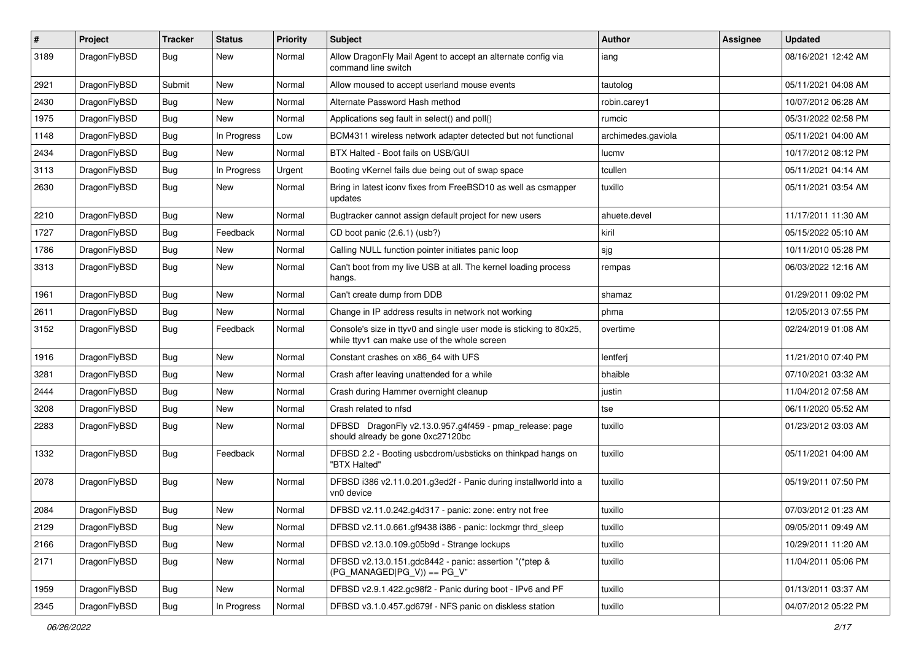| #    | Project      | <b>Tracker</b> | <b>Status</b> | <b>Priority</b> | Subject                                                                                                            | Author             | Assignee | <b>Updated</b>      |
|------|--------------|----------------|---------------|-----------------|--------------------------------------------------------------------------------------------------------------------|--------------------|----------|---------------------|
| 3189 | DragonFlyBSD | Bug            | New           | Normal          | Allow DragonFly Mail Agent to accept an alternate config via<br>command line switch                                | iang               |          | 08/16/2021 12:42 AM |
| 2921 | DragonFlyBSD | Submit         | New           | Normal          | Allow moused to accept userland mouse events                                                                       | tautolog           |          | 05/11/2021 04:08 AM |
| 2430 | DragonFlyBSD | Bug            | New           | Normal          | Alternate Password Hash method                                                                                     | robin.carey1       |          | 10/07/2012 06:28 AM |
| 1975 | DragonFlyBSD | Bug            | <b>New</b>    | Normal          | Applications seg fault in select() and poll()                                                                      | rumcic             |          | 05/31/2022 02:58 PM |
| 1148 | DragonFlyBSD | Bug            | In Progress   | Low             | BCM4311 wireless network adapter detected but not functional                                                       | archimedes.gaviola |          | 05/11/2021 04:00 AM |
| 2434 | DragonFlyBSD | Bug            | New           | Normal          | BTX Halted - Boot fails on USB/GUI                                                                                 | lucmv              |          | 10/17/2012 08:12 PM |
| 3113 | DragonFlyBSD | Bug            | In Progress   | Urgent          | Booting vKernel fails due being out of swap space                                                                  | tcullen            |          | 05/11/2021 04:14 AM |
| 2630 | DragonFlyBSD | Bug            | New           | Normal          | Bring in latest iconv fixes from FreeBSD10 as well as csmapper<br>updates                                          | tuxillo            |          | 05/11/2021 03:54 AM |
| 2210 | DragonFlyBSD | Bug            | <b>New</b>    | Normal          | Bugtracker cannot assign default project for new users                                                             | ahuete.devel       |          | 11/17/2011 11:30 AM |
| 1727 | DragonFlyBSD | Bug            | Feedback      | Normal          | CD boot panic (2.6.1) (usb?)                                                                                       | kiril              |          | 05/15/2022 05:10 AM |
| 1786 | DragonFlyBSD | Bug            | New           | Normal          | Calling NULL function pointer initiates panic loop                                                                 | sjg                |          | 10/11/2010 05:28 PM |
| 3313 | DragonFlyBSD | Bug            | New           | Normal          | Can't boot from my live USB at all. The kernel loading process<br>hangs.                                           | rempas             |          | 06/03/2022 12:16 AM |
| 1961 | DragonFlyBSD | Bug            | New           | Normal          | Can't create dump from DDB                                                                                         | shamaz             |          | 01/29/2011 09:02 PM |
| 2611 | DragonFlyBSD | Bug            | New           | Normal          | Change in IP address results in network not working                                                                | phma               |          | 12/05/2013 07:55 PM |
| 3152 | DragonFlyBSD | Bug            | Feedback      | Normal          | Console's size in ttyv0 and single user mode is sticking to 80x25,<br>while ttyv1 can make use of the whole screen | overtime           |          | 02/24/2019 01:08 AM |
| 1916 | DragonFlyBSD | Bug            | New           | Normal          | Constant crashes on x86_64 with UFS                                                                                | lentferj           |          | 11/21/2010 07:40 PM |
| 3281 | DragonFlyBSD | Bug            | <b>New</b>    | Normal          | Crash after leaving unattended for a while                                                                         | bhaible            |          | 07/10/2021 03:32 AM |
| 2444 | DragonFlyBSD | Bug            | New           | Normal          | Crash during Hammer overnight cleanup                                                                              | justin             |          | 11/04/2012 07:58 AM |
| 3208 | DragonFlyBSD | Bug            | <b>New</b>    | Normal          | Crash related to nfsd                                                                                              | tse                |          | 06/11/2020 05:52 AM |
| 2283 | DragonFlyBSD | Bug            | <b>New</b>    | Normal          | DFBSD DragonFly v2.13.0.957.g4f459 - pmap_release: page<br>should already be gone 0xc27120bc                       | tuxillo            |          | 01/23/2012 03:03 AM |
| 1332 | DragonFlyBSD | <b>Bug</b>     | Feedback      | Normal          | DFBSD 2.2 - Booting usbcdrom/usbsticks on thinkpad hangs on<br>"BTX Halted"                                        | tuxillo            |          | 05/11/2021 04:00 AM |
| 2078 | DragonFlyBSD | Bug            | New           | Normal          | DFBSD i386 v2.11.0.201.g3ed2f - Panic during installworld into a<br>vn0 device                                     | tuxillo            |          | 05/19/2011 07:50 PM |
| 2084 | DragonFlyBSD | Bug            | New           | Normal          | DFBSD v2.11.0.242.g4d317 - panic: zone: entry not free                                                             | tuxillo            |          | 07/03/2012 01:23 AM |
| 2129 | DragonFlyBSD | <b>Bug</b>     | New           | Normal          | DFBSD v2.11.0.661.gf9438 i386 - panic: lockmgr thrd_sleep                                                          | tuxillo            |          | 09/05/2011 09:49 AM |
| 2166 | DragonFlyBSD | Bug            | <b>New</b>    | Normal          | DFBSD v2.13.0.109.g05b9d - Strange lockups                                                                         | tuxillo            |          | 10/29/2011 11:20 AM |
| 2171 | DragonFlyBSD | Bug            | New           | Normal          | DFBSD v2.13.0.151.gdc8442 - panic: assertion "(*ptep &<br>$(PG_MANAGED PG_V)$ == PG_V"                             | tuxillo            |          | 11/04/2011 05:06 PM |
| 1959 | DragonFlyBSD | Bug            | New           | Normal          | DFBSD v2.9.1.422.gc98f2 - Panic during boot - IPv6 and PF                                                          | tuxillo            |          | 01/13/2011 03:37 AM |
| 2345 | DragonFlyBSD | <b>Bug</b>     | In Progress   | Normal          | DFBSD v3.1.0.457.gd679f - NFS panic on diskless station                                                            | tuxillo            |          | 04/07/2012 05:22 PM |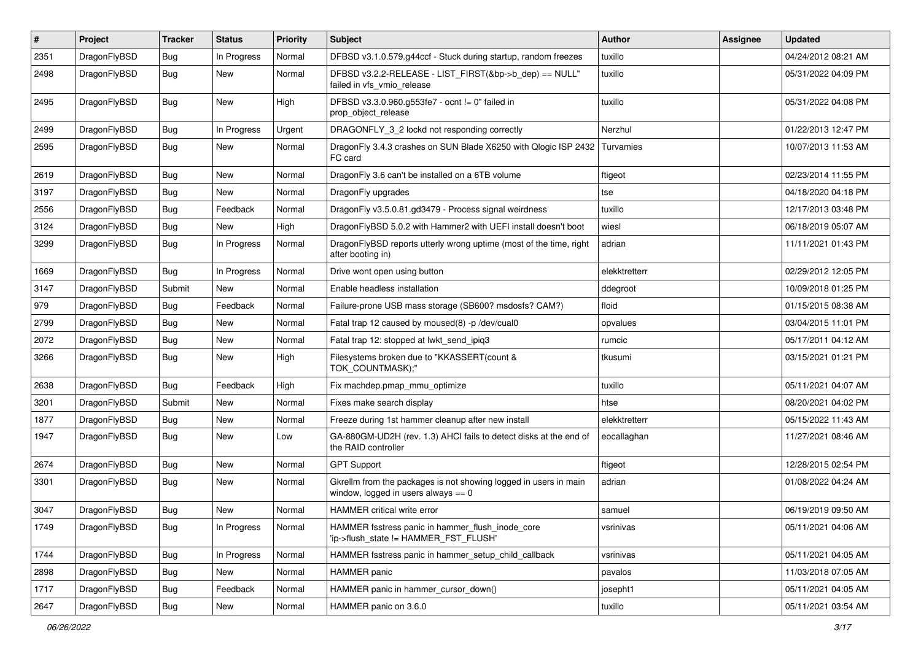| #    | Project      | <b>Tracker</b> | <b>Status</b> | <b>Priority</b> | Subject                                                                                                   | <b>Author</b> | Assignee | <b>Updated</b>      |
|------|--------------|----------------|---------------|-----------------|-----------------------------------------------------------------------------------------------------------|---------------|----------|---------------------|
| 2351 | DragonFlyBSD | Bug            | In Progress   | Normal          | DFBSD v3.1.0.579.g44ccf - Stuck during startup, random freezes                                            | tuxillo       |          | 04/24/2012 08:21 AM |
| 2498 | DragonFlyBSD | <b>Bug</b>     | New           | Normal          | DFBSD v3.2.2-RELEASE - LIST_FIRST(&bp->b_dep) == NULL"<br>failed in vfs vmio release                      | tuxillo       |          | 05/31/2022 04:09 PM |
| 2495 | DragonFlyBSD | Bug            | <b>New</b>    | High            | DFBSD v3.3.0.960.g553fe7 - ocnt != 0" failed in<br>prop object release                                    | tuxillo       |          | 05/31/2022 04:08 PM |
| 2499 | DragonFlyBSD | Bug            | In Progress   | Urgent          | DRAGONFLY_3_2 lockd not responding correctly                                                              | Nerzhul       |          | 01/22/2013 12:47 PM |
| 2595 | DragonFlyBSD | Bug            | New           | Normal          | DragonFly 3.4.3 crashes on SUN Blade X6250 with Qlogic ISP 2432 Turvamies<br>FC card                      |               |          | 10/07/2013 11:53 AM |
| 2619 | DragonFlyBSD | Bug            | <b>New</b>    | Normal          | DragonFly 3.6 can't be installed on a 6TB volume                                                          | ftigeot       |          | 02/23/2014 11:55 PM |
| 3197 | DragonFlyBSD | Bug            | <b>New</b>    | Normal          | DragonFly upgrades                                                                                        | tse           |          | 04/18/2020 04:18 PM |
| 2556 | DragonFlyBSD | <b>Bug</b>     | Feedback      | Normal          | DragonFly v3.5.0.81.gd3479 - Process signal weirdness                                                     | tuxillo       |          | 12/17/2013 03:48 PM |
| 3124 | DragonFlyBSD | <b>Bug</b>     | New           | High            | DragonFlyBSD 5.0.2 with Hammer2 with UEFI install doesn't boot                                            | wiesl         |          | 06/18/2019 05:07 AM |
| 3299 | DragonFlyBSD | <b>Bug</b>     | In Progress   | Normal          | DragonFlyBSD reports utterly wrong uptime (most of the time, right<br>after booting in)                   | adrian        |          | 11/11/2021 01:43 PM |
| 1669 | DragonFlyBSD | Bug            | In Progress   | Normal          | Drive wont open using button                                                                              | elekktretterr |          | 02/29/2012 12:05 PM |
| 3147 | DragonFlyBSD | Submit         | New           | Normal          | Enable headless installation                                                                              | ddegroot      |          | 10/09/2018 01:25 PM |
| 979  | DragonFlyBSD | Bug            | Feedback      | Normal          | Failure-prone USB mass storage (SB600? msdosfs? CAM?)                                                     | floid         |          | 01/15/2015 08:38 AM |
| 2799 | DragonFlyBSD | Bug            | <b>New</b>    | Normal          | Fatal trap 12 caused by moused(8) -p/dev/cual0                                                            | opvalues      |          | 03/04/2015 11:01 PM |
| 2072 | DragonFlyBSD | <b>Bug</b>     | <b>New</b>    | Normal          | Fatal trap 12: stopped at lwkt_send_ipiq3                                                                 | rumcic        |          | 05/17/2011 04:12 AM |
| 3266 | DragonFlyBSD | <b>Bug</b>     | New           | High            | Filesystems broken due to "KKASSERT(count &<br>TOK_COUNTMASK);"                                           | tkusumi       |          | 03/15/2021 01:21 PM |
| 2638 | DragonFlyBSD | Bug            | Feedback      | High            | Fix machdep.pmap_mmu_optimize                                                                             | tuxillo       |          | 05/11/2021 04:07 AM |
| 3201 | DragonFlyBSD | Submit         | <b>New</b>    | Normal          | Fixes make search display                                                                                 | htse          |          | 08/20/2021 04:02 PM |
| 1877 | DragonFlyBSD | <b>Bug</b>     | New           | Normal          | Freeze during 1st hammer cleanup after new install                                                        | elekktretterr |          | 05/15/2022 11:43 AM |
| 1947 | DragonFlyBSD | Bug            | New           | Low             | GA-880GM-UD2H (rev. 1.3) AHCI fails to detect disks at the end of<br>the RAID controller                  | eocallaghan   |          | 11/27/2021 08:46 AM |
| 2674 | DragonFlyBSD | Bug            | <b>New</b>    | Normal          | <b>GPT Support</b>                                                                                        | ftigeot       |          | 12/28/2015 02:54 PM |
| 3301 | DragonFlyBSD | <b>Bug</b>     | New           | Normal          | Gkrellm from the packages is not showing logged in users in main<br>window, logged in users always $== 0$ | adrian        |          | 01/08/2022 04:24 AM |
| 3047 | DragonFlyBSD | Bug            | <b>New</b>    | Normal          | HAMMER critical write error                                                                               | samuel        |          | 06/19/2019 09:50 AM |
| 1749 | DragonFlyBSD | Bug            | In Progress   | Normal          | HAMMER fsstress panic in hammer_flush_inode_core<br>'ip->flush_state != HAMMER_FST_FLUSH'                 | vsrinivas     |          | 05/11/2021 04:06 AM |
| 1744 | DragonFlyBSD | <b>Bug</b>     | In Progress   | Normal          | HAMMER fsstress panic in hammer_setup_child_callback                                                      | vsrinivas     |          | 05/11/2021 04:05 AM |
| 2898 | DragonFlyBSD | Bug            | New           | Normal          | <b>HAMMER</b> panic                                                                                       | pavalos       |          | 11/03/2018 07:05 AM |
| 1717 | DragonFlyBSD | <b>Bug</b>     | Feedback      | Normal          | HAMMER panic in hammer_cursor_down()                                                                      | josepht1      |          | 05/11/2021 04:05 AM |
| 2647 | DragonFlyBSD | Bug            | New           | Normal          | HAMMER panic on 3.6.0                                                                                     | tuxillo       |          | 05/11/2021 03:54 AM |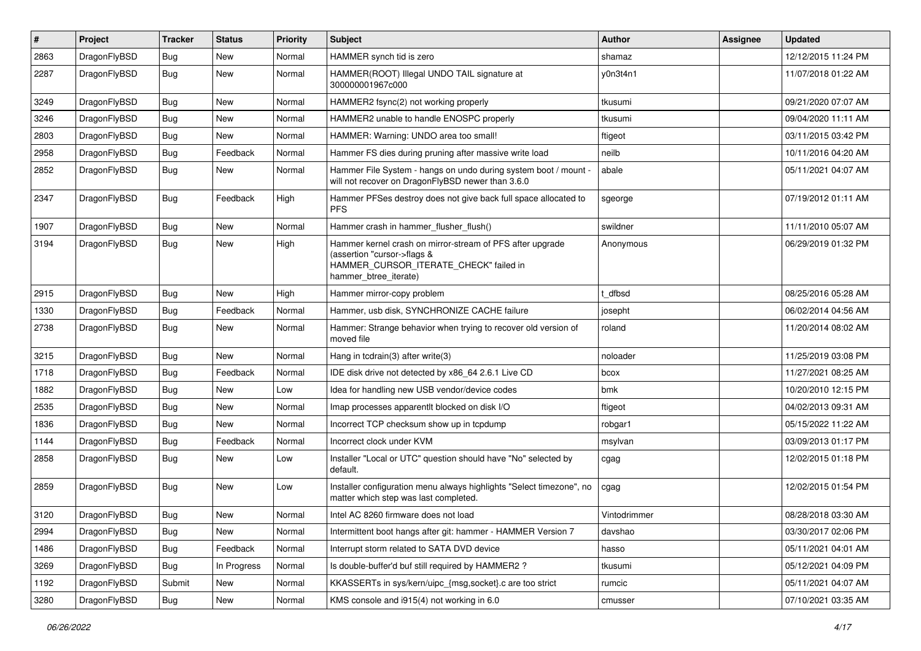| $\pmb{\#}$ | Project      | <b>Tracker</b> | <b>Status</b> | <b>Priority</b> | Subject                                                                                                                                                     | Author       | <b>Assignee</b> | <b>Updated</b>      |
|------------|--------------|----------------|---------------|-----------------|-------------------------------------------------------------------------------------------------------------------------------------------------------------|--------------|-----------------|---------------------|
| 2863       | DragonFlyBSD | Bug            | <b>New</b>    | Normal          | HAMMER synch tid is zero                                                                                                                                    | shamaz       |                 | 12/12/2015 11:24 PM |
| 2287       | DragonFlyBSD | <b>Bug</b>     | New           | Normal          | HAMMER(ROOT) Illegal UNDO TAIL signature at<br>300000001967c000                                                                                             | y0n3t4n1     |                 | 11/07/2018 01:22 AM |
| 3249       | DragonFlyBSD | Bug            | <b>New</b>    | Normal          | HAMMER2 fsync(2) not working properly                                                                                                                       | tkusumi      |                 | 09/21/2020 07:07 AM |
| 3246       | DragonFlyBSD | Bug            | <b>New</b>    | Normal          | HAMMER2 unable to handle ENOSPC properly                                                                                                                    | tkusumi      |                 | 09/04/2020 11:11 AM |
| 2803       | DragonFlyBSD | Bug            | New           | Normal          | HAMMER: Warning: UNDO area too small!                                                                                                                       | ftigeot      |                 | 03/11/2015 03:42 PM |
| 2958       | DragonFlyBSD | <b>Bug</b>     | Feedback      | Normal          | Hammer FS dies during pruning after massive write load                                                                                                      | neilb        |                 | 10/11/2016 04:20 AM |
| 2852       | DragonFlyBSD | Bug            | New           | Normal          | Hammer File System - hangs on undo during system boot / mount -<br>will not recover on DragonFlyBSD newer than 3.6.0                                        | abale        |                 | 05/11/2021 04:07 AM |
| 2347       | DragonFlyBSD | <b>Bug</b>     | Feedback      | High            | Hammer PFSes destroy does not give back full space allocated to<br>PFS.                                                                                     | sgeorge      |                 | 07/19/2012 01:11 AM |
| 1907       | DragonFlyBSD | Bug            | <b>New</b>    | Normal          | Hammer crash in hammer_flusher_flush()                                                                                                                      | swildner     |                 | 11/11/2010 05:07 AM |
| 3194       | DragonFlyBSD | Bug            | New           | High            | Hammer kernel crash on mirror-stream of PFS after upgrade<br>(assertion "cursor->flags &<br>HAMMER_CURSOR_ITERATE_CHECK" failed in<br>hammer_btree_iterate) | Anonymous    |                 | 06/29/2019 01:32 PM |
| 2915       | DragonFlyBSD | Bug            | New           | High            | Hammer mirror-copy problem                                                                                                                                  | t dfbsd      |                 | 08/25/2016 05:28 AM |
| 1330       | DragonFlyBSD | Bug            | Feedback      | Normal          | Hammer, usb disk, SYNCHRONIZE CACHE failure                                                                                                                 | josepht      |                 | 06/02/2014 04:56 AM |
| 2738       | DragonFlyBSD | Bug            | New           | Normal          | Hammer: Strange behavior when trying to recover old version of<br>moved file                                                                                | roland       |                 | 11/20/2014 08:02 AM |
| 3215       | DragonFlyBSD | Bug            | New           | Normal          | Hang in tcdrain(3) after write(3)                                                                                                                           | noloader     |                 | 11/25/2019 03:08 PM |
| 1718       | DragonFlyBSD | <b>Bug</b>     | Feedback      | Normal          | IDE disk drive not detected by x86_64 2.6.1 Live CD                                                                                                         | bcox         |                 | 11/27/2021 08:25 AM |
| 1882       | DragonFlyBSD | Bug            | New           | Low             | Idea for handling new USB vendor/device codes                                                                                                               | bmk          |                 | 10/20/2010 12:15 PM |
| 2535       | DragonFlyBSD | Bug            | New           | Normal          | Imap processes apparentlt blocked on disk I/O                                                                                                               | ftigeot      |                 | 04/02/2013 09:31 AM |
| 1836       | DragonFlyBSD | Bug            | New           | Normal          | Incorrect TCP checksum show up in tcpdump                                                                                                                   | robgar1      |                 | 05/15/2022 11:22 AM |
| 1144       | DragonFlyBSD | <b>Bug</b>     | Feedback      | Normal          | Incorrect clock under KVM                                                                                                                                   | msylvan      |                 | 03/09/2013 01:17 PM |
| 2858       | DragonFlyBSD | Bug            | New           | Low             | Installer "Local or UTC" question should have "No" selected by<br>default.                                                                                  | cgag         |                 | 12/02/2015 01:18 PM |
| 2859       | DragonFlyBSD | Bug            | New           | Low             | Installer configuration menu always highlights "Select timezone", no<br>matter which step was last completed.                                               | cgag         |                 | 12/02/2015 01:54 PM |
| 3120       | DragonFlyBSD | Bug            | New           | Normal          | Intel AC 8260 firmware does not load                                                                                                                        | Vintodrimmer |                 | 08/28/2018 03:30 AM |
| 2994       | DragonFlyBSD | Bug            | New           | Normal          | Intermittent boot hangs after git: hammer - HAMMER Version 7                                                                                                | davshao      |                 | 03/30/2017 02:06 PM |
| 1486       | DragonFlyBSD | Bug            | Feedback      | Normal          | Interrupt storm related to SATA DVD device                                                                                                                  | hasso        |                 | 05/11/2021 04:01 AM |
| 3269       | DragonFlyBSD | Bug            | In Progress   | Normal          | Is double-buffer'd buf still required by HAMMER2?                                                                                                           | tkusumi      |                 | 05/12/2021 04:09 PM |
| 1192       | DragonFlyBSD | Submit         | New           | Normal          | KKASSERTs in sys/kern/uipc_{msg,socket}.c are too strict                                                                                                    | rumcic       |                 | 05/11/2021 04:07 AM |
| 3280       | DragonFlyBSD | <b>Bug</b>     | New           | Normal          | KMS console and i915(4) not working in 6.0                                                                                                                  | cmusser      |                 | 07/10/2021 03:35 AM |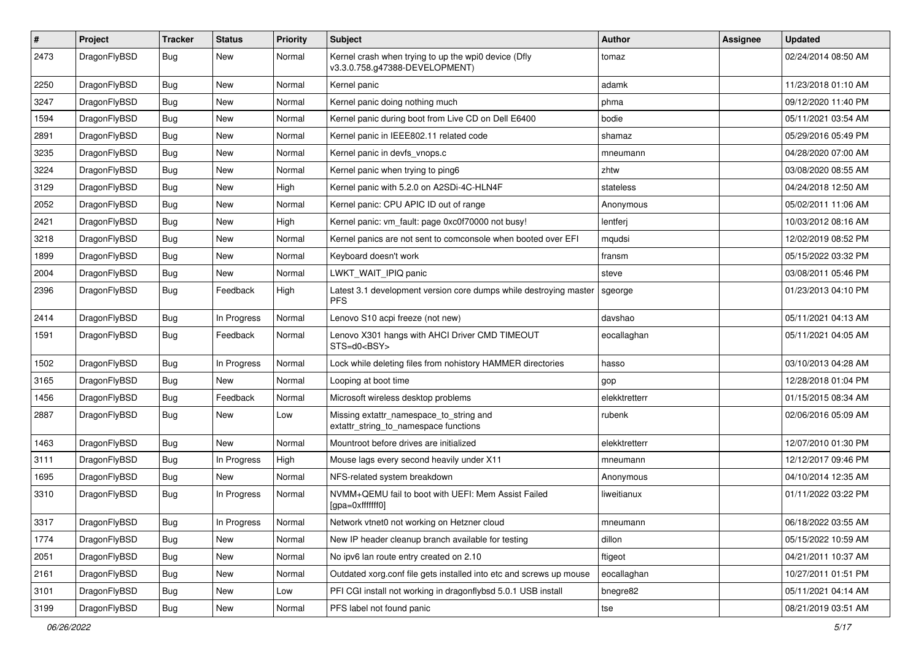| $\sharp$ | Project      | <b>Tracker</b> | <b>Status</b> | <b>Priority</b> | Subject                                                                                | Author        | Assignee | <b>Updated</b>      |
|----------|--------------|----------------|---------------|-----------------|----------------------------------------------------------------------------------------|---------------|----------|---------------------|
| 2473     | DragonFlyBSD | <b>Bug</b>     | New           | Normal          | Kernel crash when trying to up the wpi0 device (Dfly<br>v3.3.0.758.g47388-DEVELOPMENT) | tomaz         |          | 02/24/2014 08:50 AM |
| 2250     | DragonFlyBSD | <b>Bug</b>     | <b>New</b>    | Normal          | Kernel panic                                                                           | adamk         |          | 11/23/2018 01:10 AM |
| 3247     | DragonFlyBSD | <b>Bug</b>     | New           | Normal          | Kernel panic doing nothing much                                                        | phma          |          | 09/12/2020 11:40 PM |
| 1594     | DragonFlyBSD | Bug            | <b>New</b>    | Normal          | Kernel panic during boot from Live CD on Dell E6400                                    | bodie         |          | 05/11/2021 03:54 AM |
| 2891     | DragonFlyBSD | <b>Bug</b>     | New           | Normal          | Kernel panic in IEEE802.11 related code                                                | shamaz        |          | 05/29/2016 05:49 PM |
| 3235     | DragonFlyBSD | <b>Bug</b>     | New           | Normal          | Kernel panic in devfs_vnops.c                                                          | mneumann      |          | 04/28/2020 07:00 AM |
| 3224     | DragonFlyBSD | <b>Bug</b>     | <b>New</b>    | Normal          | Kernel panic when trying to ping6                                                      | zhtw          |          | 03/08/2020 08:55 AM |
| 3129     | DragonFlyBSD | <b>Bug</b>     | New           | High            | Kernel panic with 5.2.0 on A2SDi-4C-HLN4F                                              | stateless     |          | 04/24/2018 12:50 AM |
| 2052     | DragonFlyBSD | Bug            | <b>New</b>    | Normal          | Kernel panic: CPU APIC ID out of range                                                 | Anonymous     |          | 05/02/2011 11:06 AM |
| 2421     | DragonFlyBSD | <b>Bug</b>     | New           | High            | Kernel panic: vm fault: page 0xc0f70000 not busy!                                      | lentferj      |          | 10/03/2012 08:16 AM |
| 3218     | DragonFlyBSD | <b>Bug</b>     | New           | Normal          | Kernel panics are not sent to comconsole when booted over EFI                          | mqudsi        |          | 12/02/2019 08:52 PM |
| 1899     | DragonFlyBSD | <b>Bug</b>     | New           | Normal          | Keyboard doesn't work                                                                  | fransm        |          | 05/15/2022 03:32 PM |
| 2004     | DragonFlyBSD | <b>Bug</b>     | New           | Normal          | LWKT_WAIT_IPIQ panic                                                                   | steve         |          | 03/08/2011 05:46 PM |
| 2396     | DragonFlyBSD | Bug            | Feedback      | High            | Latest 3.1 development version core dumps while destroying master<br><b>PFS</b>        | sgeorge       |          | 01/23/2013 04:10 PM |
| 2414     | DragonFlyBSD | Bug            | In Progress   | Normal          | Lenovo S10 acpi freeze (not new)                                                       | davshao       |          | 05/11/2021 04:13 AM |
| 1591     | DragonFlyBSD | Bug            | Feedback      | Normal          | Lenovo X301 hangs with AHCI Driver CMD TIMEOUT<br>STS=d0 <bsy></bsy>                   | eocallaghan   |          | 05/11/2021 04:05 AM |
| 1502     | DragonFlyBSD | Bug            | In Progress   | Normal          | Lock while deleting files from nohistory HAMMER directories                            | hasso         |          | 03/10/2013 04:28 AM |
| 3165     | DragonFlyBSD | <b>Bug</b>     | New           | Normal          | Looping at boot time                                                                   | gop           |          | 12/28/2018 01:04 PM |
| 1456     | DragonFlyBSD | <b>Bug</b>     | Feedback      | Normal          | Microsoft wireless desktop problems                                                    | elekktretterr |          | 01/15/2015 08:34 AM |
| 2887     | DragonFlyBSD | Bug            | New           | Low             | Missing extattr_namespace_to_string and<br>extattr string to namespace functions       | rubenk        |          | 02/06/2016 05:09 AM |
| 1463     | DragonFlyBSD | Bug            | New           | Normal          | Mountroot before drives are initialized                                                | elekktretterr |          | 12/07/2010 01:30 PM |
| 3111     | DragonFlyBSD | Bug            | In Progress   | High            | Mouse lags every second heavily under X11                                              | mneumann      |          | 12/12/2017 09:46 PM |
| 1695     | DragonFlyBSD | Bug            | New           | Normal          | NFS-related system breakdown                                                           | Anonymous     |          | 04/10/2014 12:35 AM |
| 3310     | DragonFlyBSD | Bug            | In Progress   | Normal          | NVMM+QEMU fail to boot with UEFI: Mem Assist Failed<br>[gpa=0xfffffff0]                | liweitianux   |          | 01/11/2022 03:22 PM |
| 3317     | DragonFlyBSD | <b>Bug</b>     | In Progress   | Normal          | Network vtnet0 not working on Hetzner cloud                                            | mneumann      |          | 06/18/2022 03:55 AM |
| 1774     | DragonFlyBSD | <b>Bug</b>     | <b>New</b>    | Normal          | New IP header cleanup branch available for testing                                     | dillon        |          | 05/15/2022 10:59 AM |
| 2051     | DragonFlyBSD | <b>Bug</b>     | New           | Normal          | No ipv6 lan route entry created on 2.10                                                | ftigeot       |          | 04/21/2011 10:37 AM |
| 2161     | DragonFlyBSD | <b>Bug</b>     | New           | Normal          | Outdated xorg.conf file gets installed into etc and screws up mouse                    | eocallaghan   |          | 10/27/2011 01:51 PM |
| 3101     | DragonFlyBSD | <b>Bug</b>     | <b>New</b>    | Low             | PFI CGI install not working in dragonflybsd 5.0.1 USB install                          | bnegre82      |          | 05/11/2021 04:14 AM |
| 3199     | DragonFlyBSD | <b>Bug</b>     | New           | Normal          | PFS label not found panic                                                              | tse           |          | 08/21/2019 03:51 AM |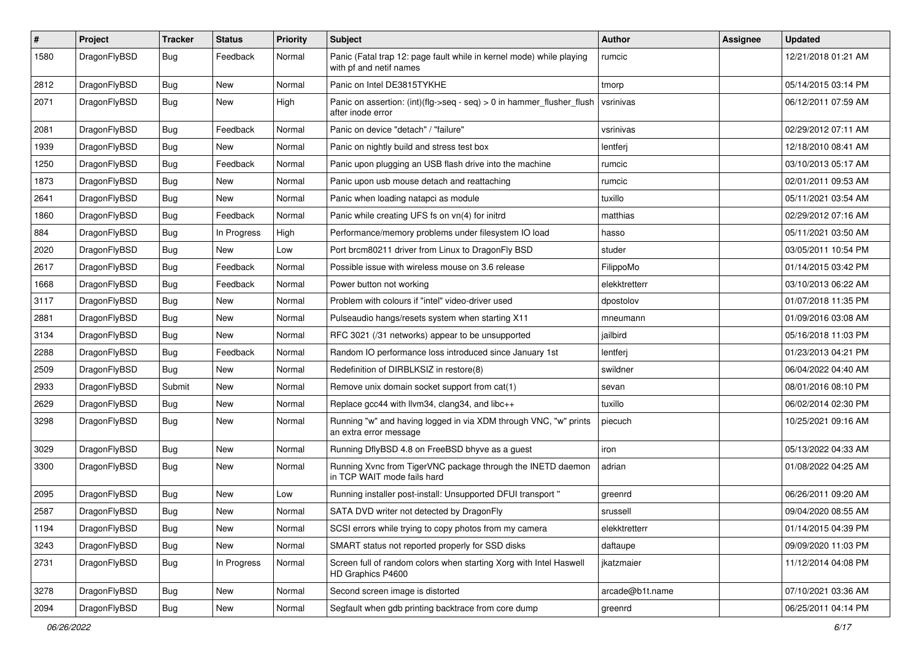| $\pmb{\#}$ | Project      | <b>Tracker</b> | <b>Status</b> | <b>Priority</b> | <b>Subject</b>                                                                                  | Author          | Assignee | <b>Updated</b>      |
|------------|--------------|----------------|---------------|-----------------|-------------------------------------------------------------------------------------------------|-----------------|----------|---------------------|
| 1580       | DragonFlyBSD | Bug            | Feedback      | Normal          | Panic (Fatal trap 12: page fault while in kernel mode) while playing<br>with pf and netif names | rumcic          |          | 12/21/2018 01:21 AM |
| 2812       | DragonFlyBSD | <b>Bug</b>     | <b>New</b>    | Normal          | Panic on Intel DE3815TYKHE                                                                      | tmorp           |          | 05/14/2015 03:14 PM |
| 2071       | DragonFlyBSD | Bug            | New           | High            | Panic on assertion: (int)(flg->seq - seq) > 0 in hammer_flusher_flush<br>after inode error      | vsrinivas       |          | 06/12/2011 07:59 AM |
| 2081       | DragonFlyBSD | <b>Bug</b>     | Feedback      | Normal          | Panic on device "detach" / "failure"                                                            | vsrinivas       |          | 02/29/2012 07:11 AM |
| 1939       | DragonFlyBSD | <b>Bug</b>     | New           | Normal          | Panic on nightly build and stress test box                                                      | lentferj        |          | 12/18/2010 08:41 AM |
| 1250       | DragonFlyBSD | <b>Bug</b>     | Feedback      | Normal          | Panic upon plugging an USB flash drive into the machine                                         | rumcic          |          | 03/10/2013 05:17 AM |
| 1873       | DragonFlyBSD | <b>Bug</b>     | New           | Normal          | Panic upon usb mouse detach and reattaching                                                     | rumcic          |          | 02/01/2011 09:53 AM |
| 2641       | DragonFlyBSD | Bug            | New           | Normal          | Panic when loading natapci as module                                                            | tuxillo         |          | 05/11/2021 03:54 AM |
| 1860       | DragonFlyBSD | <b>Bug</b>     | Feedback      | Normal          | Panic while creating UFS fs on vn(4) for initrd                                                 | matthias        |          | 02/29/2012 07:16 AM |
| 884        | DragonFlyBSD | Bug            | In Progress   | High            | Performance/memory problems under filesystem IO load                                            | hasso           |          | 05/11/2021 03:50 AM |
| 2020       | DragonFlyBSD | <b>Bug</b>     | New           | Low             | Port brcm80211 driver from Linux to DragonFly BSD                                               | studer          |          | 03/05/2011 10:54 PM |
| 2617       | DragonFlyBSD | <b>Bug</b>     | Feedback      | Normal          | Possible issue with wireless mouse on 3.6 release                                               | FilippoMo       |          | 01/14/2015 03:42 PM |
| 1668       | DragonFlyBSD | Bug            | Feedback      | Normal          | Power button not working                                                                        | elekktretterr   |          | 03/10/2013 06:22 AM |
| 3117       | DragonFlyBSD | <b>Bug</b>     | New           | Normal          | Problem with colours if "intel" video-driver used                                               | dpostolov       |          | 01/07/2018 11:35 PM |
| 2881       | DragonFlyBSD | <b>Bug</b>     | New           | Normal          | Pulseaudio hangs/resets system when starting X11                                                | mneumann        |          | 01/09/2016 03:08 AM |
| 3134       | DragonFlyBSD | Bug            | <b>New</b>    | Normal          | RFC 3021 (/31 networks) appear to be unsupported                                                | jailbird        |          | 05/16/2018 11:03 PM |
| 2288       | DragonFlyBSD | <b>Bug</b>     | Feedback      | Normal          | Random IO performance loss introduced since January 1st                                         | lentferj        |          | 01/23/2013 04:21 PM |
| 2509       | DragonFlyBSD | <b>Bug</b>     | New           | Normal          | Redefinition of DIRBLKSIZ in restore(8)                                                         | swildner        |          | 06/04/2022 04:40 AM |
| 2933       | DragonFlyBSD | Submit         | New           | Normal          | Remove unix domain socket support from cat(1)                                                   | sevan           |          | 08/01/2016 08:10 PM |
| 2629       | DragonFlyBSD | <b>Bug</b>     | New           | Normal          | Replace gcc44 with llvm34, clang34, and libc++                                                  | tuxillo         |          | 06/02/2014 02:30 PM |
| 3298       | DragonFlyBSD | Bug            | New           | Normal          | Running "w" and having logged in via XDM through VNC, "w" prints<br>an extra error message      | piecuch         |          | 10/25/2021 09:16 AM |
| 3029       | DragonFlyBSD | Bug            | <b>New</b>    | Normal          | Running DflyBSD 4.8 on FreeBSD bhyve as a guest                                                 | iron            |          | 05/13/2022 04:33 AM |
| 3300       | DragonFlyBSD | Bug            | <b>New</b>    | Normal          | Running Xvnc from TigerVNC package through the INETD daemon<br>in TCP WAIT mode fails hard      | adrian          |          | 01/08/2022 04:25 AM |
| 2095       | DragonFlyBSD | <b>Bug</b>     | New           | Low             | Running installer post-install: Unsupported DFUI transport "                                    | greenrd         |          | 06/26/2011 09:20 AM |
| 2587       | DragonFlyBSD | <b>Bug</b>     | New           | Normal          | SATA DVD writer not detected by DragonFly                                                       | srussell        |          | 09/04/2020 08:55 AM |
| 1194       | DragonFlyBSD | <b>Bug</b>     | New           | Normal          | SCSI errors while trying to copy photos from my camera                                          | elekktretterr   |          | 01/14/2015 04:39 PM |
| 3243       | DragonFlyBSD | <b>Bug</b>     | New           | Normal          | SMART status not reported properly for SSD disks                                                | daftaupe        |          | 09/09/2020 11:03 PM |
| 2731       | DragonFlyBSD | <b>Bug</b>     | In Progress   | Normal          | Screen full of random colors when starting Xorg with Intel Haswell<br>HD Graphics P4600         | ikatzmaier      |          | 11/12/2014 04:08 PM |
| 3278       | DragonFlyBSD | Bug            | New           | Normal          | Second screen image is distorted                                                                | arcade@b1t.name |          | 07/10/2021 03:36 AM |
| 2094       | DragonFlyBSD | <b>Bug</b>     | New           | Normal          | Segfault when gdb printing backtrace from core dump                                             | greenrd         |          | 06/25/2011 04:14 PM |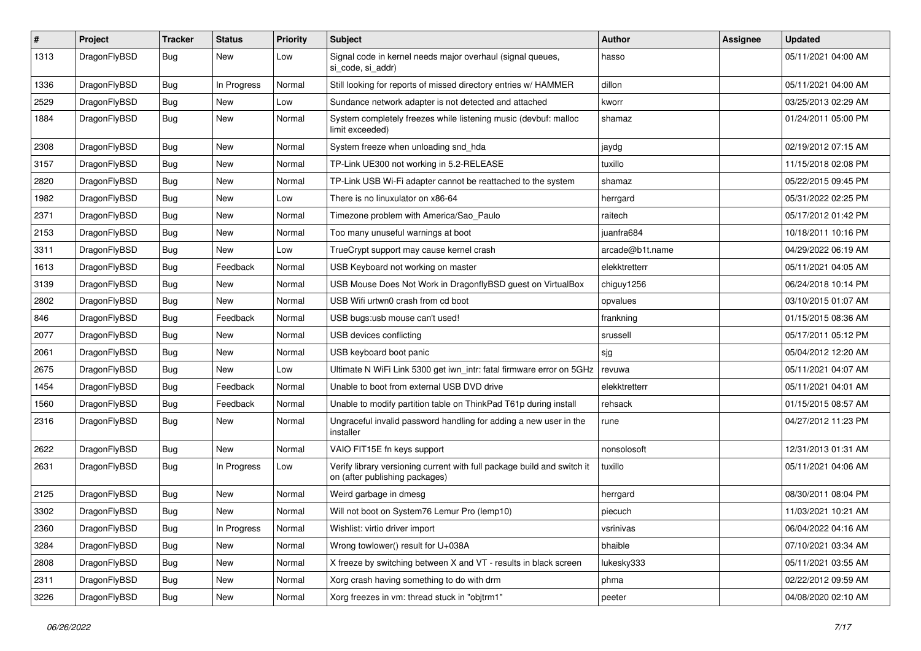| $\sharp$ | Project      | <b>Tracker</b> | <b>Status</b> | <b>Priority</b> | Subject                                                                                                   | Author          | Assignee | <b>Updated</b>      |
|----------|--------------|----------------|---------------|-----------------|-----------------------------------------------------------------------------------------------------------|-----------------|----------|---------------------|
| 1313     | DragonFlyBSD | <b>Bug</b>     | New           | Low             | Signal code in kernel needs major overhaul (signal queues,<br>si code, si addr)                           | hasso           |          | 05/11/2021 04:00 AM |
| 1336     | DragonFlyBSD | Bug            | In Progress   | Normal          | Still looking for reports of missed directory entries w/ HAMMER                                           | dillon          |          | 05/11/2021 04:00 AM |
| 2529     | DragonFlyBSD | <b>Bug</b>     | <b>New</b>    | Low             | Sundance network adapter is not detected and attached                                                     | kworr           |          | 03/25/2013 02:29 AM |
| 1884     | DragonFlyBSD | Bug            | New           | Normal          | System completely freezes while listening music (devbuf: malloc<br>limit exceeded)                        | shamaz          |          | 01/24/2011 05:00 PM |
| 2308     | DragonFlyBSD | Bug            | <b>New</b>    | Normal          | System freeze when unloading snd hda                                                                      | jaydg           |          | 02/19/2012 07:15 AM |
| 3157     | DragonFlyBSD | Bug            | New           | Normal          | TP-Link UE300 not working in 5.2-RELEASE                                                                  | tuxillo         |          | 11/15/2018 02:08 PM |
| 2820     | DragonFlyBSD | Bug            | New           | Normal          | TP-Link USB Wi-Fi adapter cannot be reattached to the system                                              | shamaz          |          | 05/22/2015 09:45 PM |
| 1982     | DragonFlyBSD | Bug            | <b>New</b>    | Low             | There is no linuxulator on x86-64                                                                         | herrgard        |          | 05/31/2022 02:25 PM |
| 2371     | DragonFlyBSD | Bug            | New           | Normal          | Timezone problem with America/Sao Paulo                                                                   | raitech         |          | 05/17/2012 01:42 PM |
| 2153     | DragonFlyBSD | Bug            | <b>New</b>    | Normal          | Too many unuseful warnings at boot                                                                        | juanfra684      |          | 10/18/2011 10:16 PM |
| 3311     | DragonFlyBSD | Bug            | New           | Low             | TrueCrypt support may cause kernel crash                                                                  | arcade@b1t.name |          | 04/29/2022 06:19 AM |
| 1613     | DragonFlyBSD | Bug            | Feedback      | Normal          | USB Keyboard not working on master                                                                        | elekktretterr   |          | 05/11/2021 04:05 AM |
| 3139     | DragonFlyBSD | Bug            | New           | Normal          | USB Mouse Does Not Work in DragonflyBSD guest on VirtualBox                                               | chiguy1256      |          | 06/24/2018 10:14 PM |
| 2802     | DragonFlyBSD | Bug            | New           | Normal          | USB Wifi urtwn0 crash from cd boot                                                                        | opvalues        |          | 03/10/2015 01:07 AM |
| 846      | DragonFlyBSD | Bug            | Feedback      | Normal          | USB bugs:usb mouse can't used!                                                                            | frankning       |          | 01/15/2015 08:36 AM |
| 2077     | DragonFlyBSD | Bug            | <b>New</b>    | Normal          | USB devices conflicting                                                                                   | srussell        |          | 05/17/2011 05:12 PM |
| 2061     | DragonFlyBSD | Bug            | <b>New</b>    | Normal          | USB keyboard boot panic                                                                                   | sjg             |          | 05/04/2012 12:20 AM |
| 2675     | DragonFlyBSD | Bug            | <b>New</b>    | Low             | Ultimate N WiFi Link 5300 get iwn_intr: fatal firmware error on 5GHz                                      | revuwa          |          | 05/11/2021 04:07 AM |
| 1454     | DragonFlyBSD | <b>Bug</b>     | Feedback      | Normal          | Unable to boot from external USB DVD drive                                                                | elekktretterr   |          | 05/11/2021 04:01 AM |
| 1560     | DragonFlyBSD | <b>Bug</b>     | Feedback      | Normal          | Unable to modify partition table on ThinkPad T61p during install                                          | rehsack         |          | 01/15/2015 08:57 AM |
| 2316     | DragonFlyBSD | Bug            | New           | Normal          | Ungraceful invalid password handling for adding a new user in the<br>installer                            | rune            |          | 04/27/2012 11:23 PM |
| 2622     | DragonFlyBSD | Bug            | <b>New</b>    | Normal          | VAIO FIT15E fn keys support                                                                               | nonsolosoft     |          | 12/31/2013 01:31 AM |
| 2631     | DragonFlyBSD | Bug            | In Progress   | Low             | Verify library versioning current with full package build and switch it<br>on (after publishing packages) | tuxillo         |          | 05/11/2021 04:06 AM |
| 2125     | DragonFlyBSD | Bug            | New           | Normal          | Weird garbage in dmesg                                                                                    | herrgard        |          | 08/30/2011 08:04 PM |
| 3302     | DragonFlyBSD | <b>Bug</b>     | <b>New</b>    | Normal          | Will not boot on System76 Lemur Pro (lemp10)                                                              | piecuch         |          | 11/03/2021 10:21 AM |
| 2360     | DragonFlyBSD | <b>Bug</b>     | In Progress   | Normal          | Wishlist: virtio driver import                                                                            | vsrinivas       |          | 06/04/2022 04:16 AM |
| 3284     | DragonFlyBSD | <b>Bug</b>     | <b>New</b>    | Normal          | Wrong towlower() result for U+038A                                                                        | bhaible         |          | 07/10/2021 03:34 AM |
| 2808     | DragonFlyBSD | <b>Bug</b>     | New           | Normal          | X freeze by switching between X and VT - results in black screen                                          | lukesky333      |          | 05/11/2021 03:55 AM |
| 2311     | DragonFlyBSD | <b>Bug</b>     | New           | Normal          | Xorg crash having something to do with drm                                                                | phma            |          | 02/22/2012 09:59 AM |
| 3226     | DragonFlyBSD | <b>Bug</b>     | New           | Normal          | Xorg freezes in vm: thread stuck in "objtrm1"                                                             | peeter          |          | 04/08/2020 02:10 AM |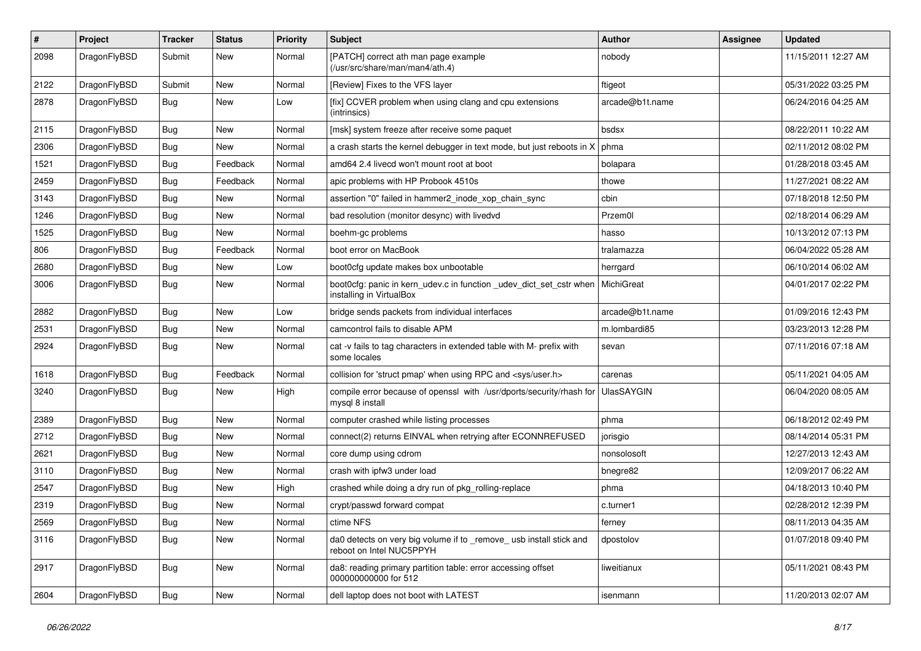| $\pmb{\#}$ | Project      | <b>Tracker</b> | <b>Status</b> | <b>Priority</b> | Subject                                                                                         | Author            | Assignee | <b>Updated</b>      |
|------------|--------------|----------------|---------------|-----------------|-------------------------------------------------------------------------------------------------|-------------------|----------|---------------------|
| 2098       | DragonFlyBSD | Submit         | New           | Normal          | [PATCH] correct ath man page example<br>(/usr/src/share/man/man4/ath.4)                         | nobody            |          | 11/15/2011 12:27 AM |
| 2122       | DragonFlyBSD | Submit         | New           | Normal          | [Review] Fixes to the VFS layer                                                                 | ftigeot           |          | 05/31/2022 03:25 PM |
| 2878       | DragonFlyBSD | Bug            | New           | Low             | [fix] CCVER problem when using clang and cpu extensions<br>(intrinsics)                         | arcade@b1t.name   |          | 06/24/2016 04:25 AM |
| 2115       | DragonFlyBSD | <b>Bug</b>     | New           | Normal          | [msk] system freeze after receive some paquet                                                   | bsdsx             |          | 08/22/2011 10:22 AM |
| 2306       | DragonFlyBSD | Bug            | New           | Normal          | a crash starts the kernel debugger in text mode, but just reboots in X                          | phma              |          | 02/11/2012 08:02 PM |
| 1521       | DragonFlyBSD | Bug            | Feedback      | Normal          | amd64 2.4 livecd won't mount root at boot                                                       | bolapara          |          | 01/28/2018 03:45 AM |
| 2459       | DragonFlyBSD | Bug            | Feedback      | Normal          | apic problems with HP Probook 4510s                                                             | thowe             |          | 11/27/2021 08:22 AM |
| 3143       | DragonFlyBSD | Bug            | <b>New</b>    | Normal          | assertion "0" failed in hammer2_inode_xop_chain_sync                                            | cbin              |          | 07/18/2018 12:50 PM |
| 1246       | DragonFlyBSD | Bug            | New           | Normal          | bad resolution (monitor desync) with livedvd                                                    | Przem0l           |          | 02/18/2014 06:29 AM |
| 1525       | DragonFlyBSD | Bug            | <b>New</b>    | Normal          | boehm-gc problems                                                                               | hasso             |          | 10/13/2012 07:13 PM |
| 806        | DragonFlyBSD | Bug            | Feedback      | Normal          | boot error on MacBook                                                                           | tralamazza        |          | 06/04/2022 05:28 AM |
| 2680       | DragonFlyBSD | <b>Bug</b>     | <b>New</b>    | Low             | boot0cfg update makes box unbootable                                                            | herrgard          |          | 06/10/2014 06:02 AM |
| 3006       | DragonFlyBSD | Bug            | New           | Normal          | boot0cfg: panic in kern_udev.c in function _udev_dict_set_cstr when<br>installing in VirtualBox | MichiGreat        |          | 04/01/2017 02:22 PM |
| 2882       | DragonFlyBSD | Bug            | <b>New</b>    | Low             | bridge sends packets from individual interfaces                                                 | arcade@b1t.name   |          | 01/09/2016 12:43 PM |
| 2531       | DragonFlyBSD | Bug            | <b>New</b>    | Normal          | camcontrol fails to disable APM                                                                 | m.lombardi85      |          | 03/23/2013 12:28 PM |
| 2924       | DragonFlyBSD | Bug            | New           | Normal          | cat -v fails to tag characters in extended table with M- prefix with<br>some locales            | sevan             |          | 07/11/2016 07:18 AM |
| 1618       | DragonFlyBSD | Bug            | Feedback      | Normal          | collision for 'struct pmap' when using RPC and <sys user.h=""></sys>                            | carenas           |          | 05/11/2021 04:05 AM |
| 3240       | DragonFlyBSD | Bug            | New           | High            | compile error because of openssl with /usr/dports/security/rhash for<br>mysql 8 install         | <b>UlasSAYGIN</b> |          | 06/04/2020 08:05 AM |
| 2389       | DragonFlyBSD | <b>Bug</b>     | <b>New</b>    | Normal          | computer crashed while listing processes                                                        | phma              |          | 06/18/2012 02:49 PM |
| 2712       | DragonFlyBSD | Bug            | <b>New</b>    | Normal          | connect(2) returns EINVAL when retrying after ECONNREFUSED                                      | jorisgio          |          | 08/14/2014 05:31 PM |
| 2621       | DragonFlyBSD | Bug            | <b>New</b>    | Normal          | core dump using cdrom                                                                           | nonsolosoft       |          | 12/27/2013 12:43 AM |
| 3110       | DragonFlyBSD | Bug            | New           | Normal          | crash with ipfw3 under load                                                                     | bnegre82          |          | 12/09/2017 06:22 AM |
| 2547       | DragonFlyBSD | Bug            | New           | High            | crashed while doing a dry run of pkg_rolling-replace                                            | phma              |          | 04/18/2013 10:40 PM |
| 2319       | DragonFlyBSD | Bug            | New           | Normal          | crypt/passwd forward compat                                                                     | c.turner1         |          | 02/28/2012 12:39 PM |
| 2569       | DragonFlyBSD | Bug            | New           | Normal          | ctime NFS                                                                                       | terney            |          | 08/11/2013 04:35 AM |
| 3116       | DragonFlyBSD | <b>Bug</b>     | New           | Normal          | da0 detects on very big volume if to _remove_ usb install stick and<br>reboot on Intel NUC5PPYH | dpostolov         |          | 01/07/2018 09:40 PM |
| 2917       | DragonFlyBSD | <b>Bug</b>     | New           | Normal          | da8: reading primary partition table: error accessing offset<br>000000000000 for 512            | liweitianux       |          | 05/11/2021 08:43 PM |
| 2604       | DragonFlyBSD | <b>Bug</b>     | New           | Normal          | dell laptop does not boot with LATEST                                                           | isenmann          |          | 11/20/2013 02:07 AM |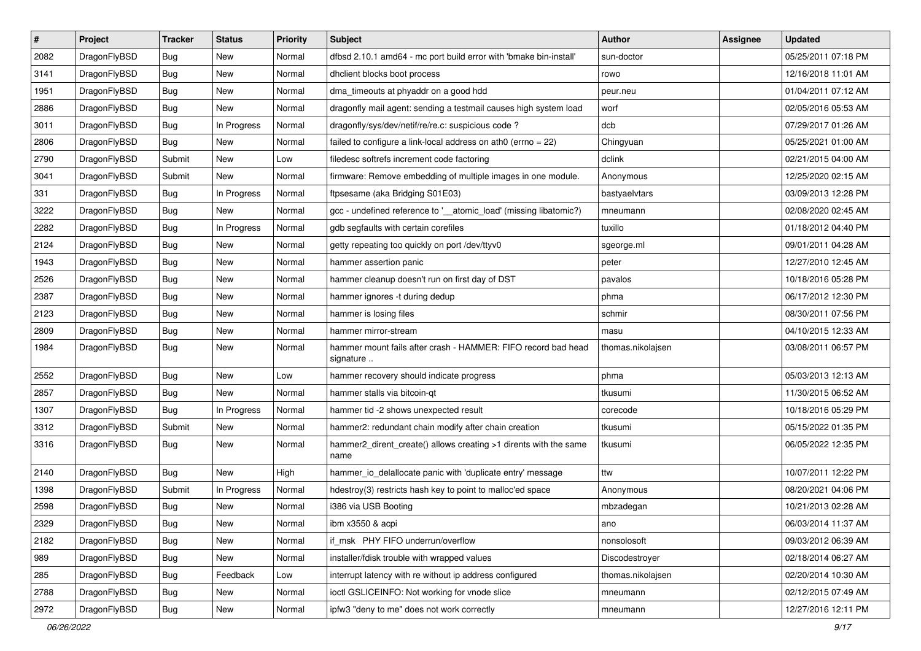| $\pmb{\#}$ | Project      | <b>Tracker</b> | <b>Status</b> | <b>Priority</b> | <b>Subject</b>                                                             | Author            | <b>Assignee</b> | <b>Updated</b>      |
|------------|--------------|----------------|---------------|-----------------|----------------------------------------------------------------------------|-------------------|-----------------|---------------------|
| 2082       | DragonFlyBSD | Bug            | New           | Normal          | dfbsd 2.10.1 amd64 - mc port build error with 'bmake bin-install'          | sun-doctor        |                 | 05/25/2011 07:18 PM |
| 3141       | DragonFlyBSD | Bug            | <b>New</b>    | Normal          | dhclient blocks boot process                                               | rowo              |                 | 12/16/2018 11:01 AM |
| 1951       | DragonFlyBSD | Bug            | <b>New</b>    | Normal          | dma_timeouts at phyaddr on a good hdd                                      | peur.neu          |                 | 01/04/2011 07:12 AM |
| 2886       | DragonFlyBSD | Bug            | New           | Normal          | dragonfly mail agent: sending a testmail causes high system load           | worf              |                 | 02/05/2016 05:53 AM |
| 3011       | DragonFlyBSD | Bug            | In Progress   | Normal          | dragonfly/sys/dev/netif/re/re.c: suspicious code ?                         | dcb               |                 | 07/29/2017 01:26 AM |
| 2806       | DragonFlyBSD | <b>Bug</b>     | New           | Normal          | failed to configure a link-local address on ath $0$ (errno = 22)           | Chingyuan         |                 | 05/25/2021 01:00 AM |
| 2790       | DragonFlyBSD | Submit         | New           | Low             | filedesc softrefs increment code factoring                                 | dclink            |                 | 02/21/2015 04:00 AM |
| 3041       | DragonFlyBSD | Submit         | New           | Normal          | firmware: Remove embedding of multiple images in one module.               | Anonymous         |                 | 12/25/2020 02:15 AM |
| 331        | DragonFlyBSD | Bug            | In Progress   | Normal          | ftpsesame (aka Bridging S01E03)                                            | bastyaelvtars     |                 | 03/09/2013 12:28 PM |
| 3222       | DragonFlyBSD | Bug            | New           | Normal          | gcc - undefined reference to '__atomic_load' (missing libatomic?)          | mneumann          |                 | 02/08/2020 02:45 AM |
| 2282       | DragonFlyBSD | <b>Bug</b>     | In Progress   | Normal          | gdb segfaults with certain corefiles                                       | tuxillo           |                 | 01/18/2012 04:40 PM |
| 2124       | DragonFlyBSD | Bug            | New           | Normal          | getty repeating too quickly on port /dev/ttyv0                             | sgeorge.ml        |                 | 09/01/2011 04:28 AM |
| 1943       | DragonFlyBSD | Bug            | New           | Normal          | hammer assertion panic                                                     | peter             |                 | 12/27/2010 12:45 AM |
| 2526       | DragonFlyBSD | Bug            | <b>New</b>    | Normal          | hammer cleanup doesn't run on first day of DST                             | pavalos           |                 | 10/18/2016 05:28 PM |
| 2387       | DragonFlyBSD | <b>Bug</b>     | <b>New</b>    | Normal          | hammer ignores -t during dedup                                             | phma              |                 | 06/17/2012 12:30 PM |
| 2123       | DragonFlyBSD | Bug            | <b>New</b>    | Normal          | hammer is losing files                                                     | schmir            |                 | 08/30/2011 07:56 PM |
| 2809       | DragonFlyBSD | <b>Bug</b>     | New           | Normal          | hammer mirror-stream                                                       | masu              |                 | 04/10/2015 12:33 AM |
| 1984       | DragonFlyBSD | <b>Bug</b>     | <b>New</b>    | Normal          | hammer mount fails after crash - HAMMER: FIFO record bad head<br>signature | thomas.nikolajsen |                 | 03/08/2011 06:57 PM |
| 2552       | DragonFlyBSD | Bug            | <b>New</b>    | Low             | hammer recovery should indicate progress                                   | phma              |                 | 05/03/2013 12:13 AM |
| 2857       | DragonFlyBSD | Bug            | New           | Normal          | hammer stalls via bitcoin-qt                                               | tkusumi           |                 | 11/30/2015 06:52 AM |
| 1307       | DragonFlyBSD | <b>Bug</b>     | In Progress   | Normal          | hammer tid -2 shows unexpected result                                      | corecode          |                 | 10/18/2016 05:29 PM |
| 3312       | DragonFlyBSD | Submit         | <b>New</b>    | Normal          | hammer2: redundant chain modify after chain creation                       | tkusumi           |                 | 05/15/2022 01:35 PM |
| 3316       | DragonFlyBSD | <b>Bug</b>     | New           | Normal          | hammer2_dirent_create() allows creating >1 dirents with the same<br>name   | tkusumi           |                 | 06/05/2022 12:35 PM |
| 2140       | DragonFlyBSD | <b>Bug</b>     | <b>New</b>    | High            | hammer_io_delallocate panic with 'duplicate entry' message                 | ttw               |                 | 10/07/2011 12:22 PM |
| 1398       | DragonFlyBSD | Submit         | In Progress   | Normal          | hdestroy(3) restricts hash key to point to malloc'ed space                 | Anonymous         |                 | 08/20/2021 04:06 PM |
| 2598       | DragonFlyBSD | <b>Bug</b>     | New           | Normal          | i386 via USB Booting                                                       | mbzadegan         |                 | 10/21/2013 02:28 AM |
| 2329       | DragonFlyBSD | Bug            | New           | Normal          | ibm x3550 & acpi                                                           | ano               |                 | 06/03/2014 11:37 AM |
| 2182       | DragonFlyBSD | <b>Bug</b>     | New           | Normal          | if_msk PHY FIFO underrun/overflow                                          | nonsolosoft       |                 | 09/03/2012 06:39 AM |
| 989        | DragonFlyBSD | <b>Bug</b>     | New           | Normal          | installer/fdisk trouble with wrapped values                                | Discodestroyer    |                 | 02/18/2014 06:27 AM |
| 285        | DragonFlyBSD | Bug            | Feedback      | Low             | interrupt latency with re without ip address configured                    | thomas.nikolajsen |                 | 02/20/2014 10:30 AM |
| 2788       | DragonFlyBSD | <b>Bug</b>     | New           | Normal          | ioctl GSLICEINFO: Not working for vnode slice                              | mneumann          |                 | 02/12/2015 07:49 AM |
| 2972       | DragonFlyBSD | <b>Bug</b>     | New           | Normal          | ipfw3 "deny to me" does not work correctly                                 | mneumann          |                 | 12/27/2016 12:11 PM |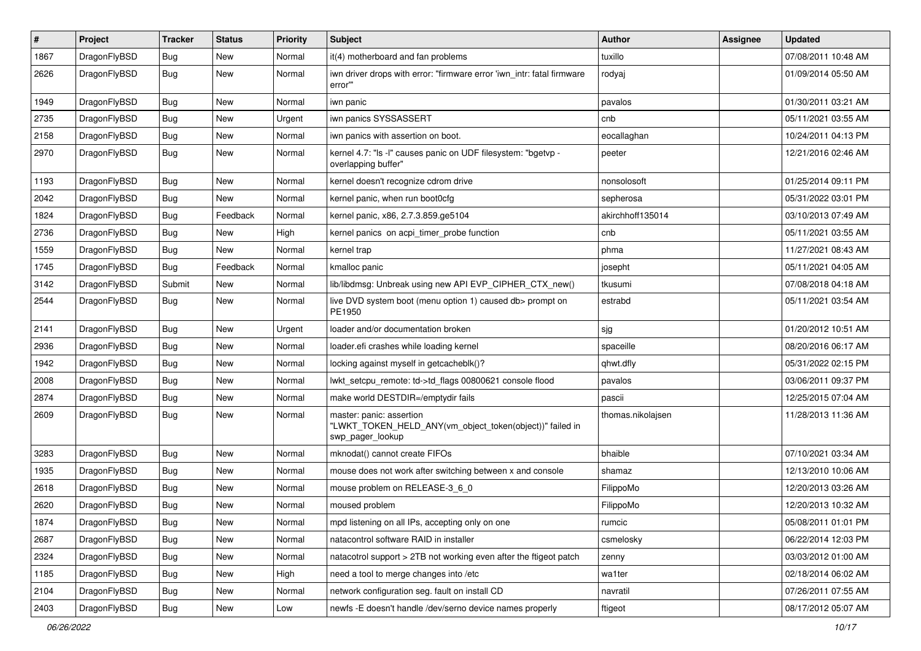| $\pmb{\#}$ | Project      | <b>Tracker</b> | <b>Status</b> | <b>Priority</b> | Subject                                                                                                  | <b>Author</b>     | Assignee | <b>Updated</b>      |
|------------|--------------|----------------|---------------|-----------------|----------------------------------------------------------------------------------------------------------|-------------------|----------|---------------------|
| 1867       | DragonFlyBSD | Bug            | New           | Normal          | it(4) motherboard and fan problems                                                                       | tuxillo           |          | 07/08/2011 10:48 AM |
| 2626       | DragonFlyBSD | Bug            | New           | Normal          | iwn driver drops with error: "firmware error 'iwn_intr: fatal firmware<br>error"                         | rodyaj            |          | 01/09/2014 05:50 AM |
| 1949       | DragonFlyBSD | <b>Bug</b>     | <b>New</b>    | Normal          | iwn panic                                                                                                | pavalos           |          | 01/30/2011 03:21 AM |
| 2735       | DragonFlyBSD | Bug            | <b>New</b>    | Urgent          | iwn panics SYSSASSERT                                                                                    | cnb               |          | 05/11/2021 03:55 AM |
| 2158       | DragonFlyBSD | Bug            | New           | Normal          | iwn panics with assertion on boot.                                                                       | eocallaghan       |          | 10/24/2011 04:13 PM |
| 2970       | DragonFlyBSD | Bug            | New           | Normal          | kernel 4.7: "Is -I" causes panic on UDF filesystem: "bgetvp -<br>overlapping buffer"                     | peeter            |          | 12/21/2016 02:46 AM |
| 1193       | DragonFlyBSD | Bug            | <b>New</b>    | Normal          | kernel doesn't recognize cdrom drive                                                                     | nonsolosoft       |          | 01/25/2014 09:11 PM |
| 2042       | DragonFlyBSD | Bug            | New           | Normal          | kernel panic, when run boot0cfg                                                                          | sepherosa         |          | 05/31/2022 03:01 PM |
| 1824       | DragonFlyBSD | <b>Bug</b>     | Feedback      | Normal          | kernel panic, x86, 2.7.3.859.ge5104                                                                      | akirchhoff135014  |          | 03/10/2013 07:49 AM |
| 2736       | DragonFlyBSD | Bug            | <b>New</b>    | High            | kernel panics on acpi_timer_probe function                                                               | cnb               |          | 05/11/2021 03:55 AM |
| 1559       | DragonFlyBSD | <b>Bug</b>     | <b>New</b>    | Normal          | kernel trap                                                                                              | phma              |          | 11/27/2021 08:43 AM |
| 1745       | DragonFlyBSD | <b>Bug</b>     | Feedback      | Normal          | kmalloc panic                                                                                            | josepht           |          | 05/11/2021 04:05 AM |
| 3142       | DragonFlyBSD | Submit         | <b>New</b>    | Normal          | lib/libdmsg: Unbreak using new API EVP_CIPHER_CTX_new()                                                  | tkusumi           |          | 07/08/2018 04:18 AM |
| 2544       | DragonFlyBSD | Bug            | New           | Normal          | live DVD system boot (menu option 1) caused db> prompt on<br>PE1950                                      | estrabd           |          | 05/11/2021 03:54 AM |
| 2141       | DragonFlyBSD | Bug            | <b>New</b>    | Urgent          | loader and/or documentation broken                                                                       | sjg               |          | 01/20/2012 10:51 AM |
| 2936       | DragonFlyBSD | <b>Bug</b>     | <b>New</b>    | Normal          | loader.efi crashes while loading kernel                                                                  | spaceille         |          | 08/20/2016 06:17 AM |
| 1942       | DragonFlyBSD | Bug            | <b>New</b>    | Normal          | locking against myself in getcacheblk()?                                                                 | qhwt.dfly         |          | 05/31/2022 02:15 PM |
| 2008       | DragonFlyBSD | <b>Bug</b>     | <b>New</b>    | Normal          | lwkt_setcpu_remote: td->td_flags 00800621 console flood                                                  | pavalos           |          | 03/06/2011 09:37 PM |
| 2874       | DragonFlyBSD | <b>Bug</b>     | <b>New</b>    | Normal          | make world DESTDIR=/emptydir fails                                                                       | pascii            |          | 12/25/2015 07:04 AM |
| 2609       | DragonFlyBSD | Bug            | New           | Normal          | master: panic: assertion<br>"LWKT_TOKEN_HELD_ANY(vm_object_token(object))" failed in<br>swp_pager_lookup | thomas.nikolajsen |          | 11/28/2013 11:36 AM |
| 3283       | DragonFlyBSD | Bug            | <b>New</b>    | Normal          | mknodat() cannot create FIFOs                                                                            | bhaible           |          | 07/10/2021 03:34 AM |
| 1935       | DragonFlyBSD | Bug            | New           | Normal          | mouse does not work after switching between x and console                                                | shamaz            |          | 12/13/2010 10:06 AM |
| 2618       | DragonFlyBSD | Bug            | <b>New</b>    | Normal          | mouse problem on RELEASE-3 6 0                                                                           | FilippoMo         |          | 12/20/2013 03:26 AM |
| 2620       | DragonFlyBSD | Bug            | New           | Normal          | moused problem                                                                                           | FilippoMo         |          | 12/20/2013 10:32 AM |
| 1874       | DragonFlyBSD | <b>Bug</b>     | New           | Normal          | mpd listening on all IPs, accepting only on one                                                          | rumcic            |          | 05/08/2011 01:01 PM |
| 2687       | DragonFlyBSD | <b>Bug</b>     | New           | Normal          | natacontrol software RAID in installer                                                                   | csmelosky         |          | 06/22/2014 12:03 PM |
| 2324       | DragonFlyBSD | <b>Bug</b>     | New           | Normal          | natacotrol support > 2TB not working even after the ftigeot patch                                        | zenny             |          | 03/03/2012 01:00 AM |
| 1185       | DragonFlyBSD | <b>Bug</b>     | New           | High            | need a tool to merge changes into /etc                                                                   | wa1ter            |          | 02/18/2014 06:02 AM |
| 2104       | DragonFlyBSD | <b>Bug</b>     | New           | Normal          | network configuration seg. fault on install CD                                                           | navratil          |          | 07/26/2011 07:55 AM |
| 2403       | DragonFlyBSD | Bug            | New           | Low             | newfs -E doesn't handle /dev/serno device names properly                                                 | ftigeot           |          | 08/17/2012 05:07 AM |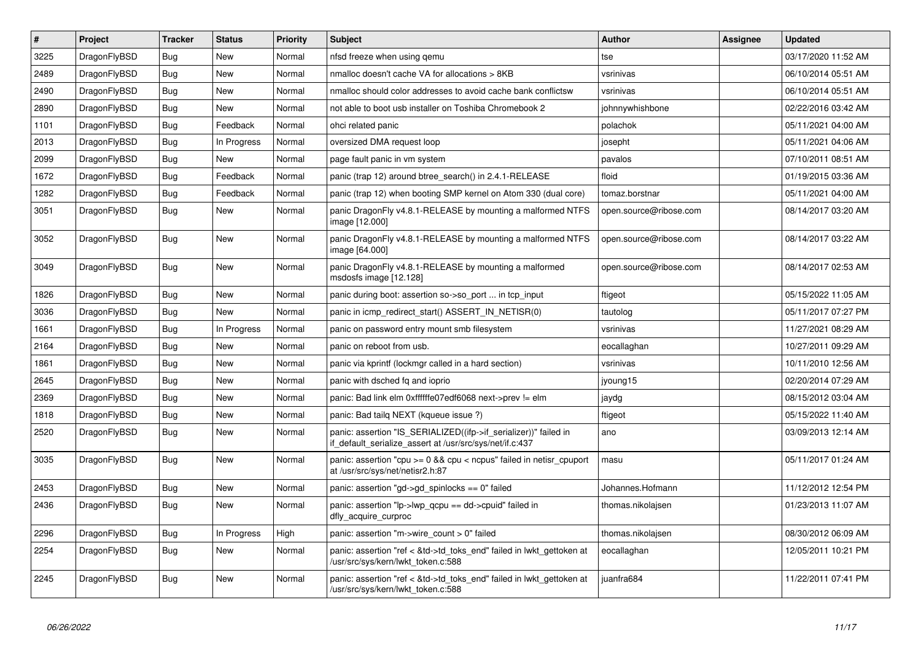| $\vert$ # | <b>Project</b> | <b>Tracker</b> | <b>Status</b> | <b>Priority</b> | <b>Subject</b>                                                                                                               | Author                 | Assignee | <b>Updated</b>      |
|-----------|----------------|----------------|---------------|-----------------|------------------------------------------------------------------------------------------------------------------------------|------------------------|----------|---------------------|
| 3225      | DragonFlyBSD   | Bug            | <b>New</b>    | Normal          | nfsd freeze when using gemu                                                                                                  | tse                    |          | 03/17/2020 11:52 AM |
| 2489      | DragonFlyBSD   | <b>Bug</b>     | New           | Normal          | nmalloc doesn't cache VA for allocations > 8KB                                                                               | vsrinivas              |          | 06/10/2014 05:51 AM |
| 2490      | DragonFlyBSD   | <b>Bug</b>     | <b>New</b>    | Normal          | nmalloc should color addresses to avoid cache bank conflictsw                                                                | vsrinivas              |          | 06/10/2014 05:51 AM |
| 2890      | DragonFlyBSD   | Bug            | New           | Normal          | not able to boot usb installer on Toshiba Chromebook 2                                                                       | johnnywhishbone        |          | 02/22/2016 03:42 AM |
| 1101      | DragonFlyBSD   | <b>Bug</b>     | Feedback      | Normal          | ohci related panic                                                                                                           | polachok               |          | 05/11/2021 04:00 AM |
| 2013      | DragonFlyBSD   | <b>Bug</b>     | In Progress   | Normal          | oversized DMA request loop                                                                                                   | josepht                |          | 05/11/2021 04:06 AM |
| 2099      | DragonFlyBSD   | <b>Bug</b>     | New           | Normal          | page fault panic in vm system                                                                                                | pavalos                |          | 07/10/2011 08:51 AM |
| 1672      | DragonFlyBSD   | <b>Bug</b>     | Feedback      | Normal          | panic (trap 12) around btree_search() in 2.4.1-RELEASE                                                                       | floid                  |          | 01/19/2015 03:36 AM |
| 1282      | DragonFlyBSD   | <b>Bug</b>     | Feedback      | Normal          | panic (trap 12) when booting SMP kernel on Atom 330 (dual core)                                                              | tomaz.borstnar         |          | 05/11/2021 04:00 AM |
| 3051      | DragonFlyBSD   | <b>Bug</b>     | <b>New</b>    | Normal          | panic DragonFly v4.8.1-RELEASE by mounting a malformed NTFS<br>image [12.000]                                                | open.source@ribose.com |          | 08/14/2017 03:20 AM |
| 3052      | DragonFlyBSD   | <b>Bug</b>     | <b>New</b>    | Normal          | panic DragonFly v4.8.1-RELEASE by mounting a malformed NTFS<br>image [64.000]                                                | open.source@ribose.com |          | 08/14/2017 03:22 AM |
| 3049      | DragonFlyBSD   | <b>Bug</b>     | <b>New</b>    | Normal          | panic DragonFly v4.8.1-RELEASE by mounting a malformed<br>msdosfs image [12.128]                                             | open.source@ribose.com |          | 08/14/2017 02:53 AM |
| 1826      | DragonFlyBSD   | Bug            | <b>New</b>    | Normal          | panic during boot: assertion so->so_port  in tcp_input                                                                       | ftigeot                |          | 05/15/2022 11:05 AM |
| 3036      | DragonFlyBSD   | Bug            | New           | Normal          | panic in icmp_redirect_start() ASSERT_IN_NETISR(0)                                                                           | tautolog               |          | 05/11/2017 07:27 PM |
| 1661      | DragonFlyBSD   | <b>Bug</b>     | In Progress   | Normal          | panic on password entry mount smb filesystem                                                                                 | vsrinivas              |          | 11/27/2021 08:29 AM |
| 2164      | DragonFlyBSD   | Bug            | <b>New</b>    | Normal          | panic on reboot from usb.                                                                                                    | eocallaghan            |          | 10/27/2011 09:29 AM |
| 1861      | DragonFlyBSD   | <b>Bug</b>     | New           | Normal          | panic via kprintf (lockmgr called in a hard section)                                                                         | vsrinivas              |          | 10/11/2010 12:56 AM |
| 2645      | DragonFlyBSD   | <b>Bug</b>     | <b>New</b>    | Normal          | panic with dsched fq and ioprio                                                                                              | jyoung15               |          | 02/20/2014 07:29 AM |
| 2369      | DragonFlyBSD   | Bug            | New           | Normal          | panic: Bad link elm 0xffffffe07edf6068 next->prev != elm                                                                     | jaydg                  |          | 08/15/2012 03:04 AM |
| 1818      | DragonFlyBSD   | <b>Bug</b>     | New           | Normal          | panic: Bad tailg NEXT (kqueue issue ?)                                                                                       | ftigeot                |          | 05/15/2022 11:40 AM |
| 2520      | DragonFlyBSD   | <b>Bug</b>     | New           | Normal          | panic: assertion "IS_SERIALIZED((ifp->if_serializer))" failed in<br>if default serialize assert at /usr/src/sys/net/if.c:437 | ano                    |          | 03/09/2013 12:14 AM |
| 3035      | DragonFlyBSD   | <b>Bug</b>     | <b>New</b>    | Normal          | panic: assertion "cpu >= 0 && cpu < ncpus" failed in netisr_cpuport<br>at /usr/src/sys/net/netisr2.h:87                      | masu                   |          | 05/11/2017 01:24 AM |
| 2453      | DragonFlyBSD   | <b>Bug</b>     | New           | Normal          | panic: assertion "gd->gd spinlocks == $0$ " failed                                                                           | Johannes.Hofmann       |          | 11/12/2012 12:54 PM |
| 2436      | DragonFlyBSD   | Bug            | <b>New</b>    | Normal          | panic: assertion "lp->lwp_qcpu == dd->cpuid" failed in<br>dfly_acquire_curproc                                               | thomas.nikolajsen      |          | 01/23/2013 11:07 AM |
| 2296      | DragonFlyBSD   | Bug            | In Progress   | High            | panic: assertion "m->wire count > 0" failed                                                                                  | thomas.nikolajsen      |          | 08/30/2012 06:09 AM |
| 2254      | DragonFlyBSD   | <b>Bug</b>     | <b>New</b>    | Normal          | panic: assertion "ref < &td->td_toks_end" failed in lwkt_gettoken at<br>/usr/src/sys/kern/lwkt_token.c:588                   | eocallaghan            |          | 12/05/2011 10:21 PM |
| 2245      | DragonFlyBSD   | Bug            | New           | Normal          | panic: assertion "ref < &td->td toks end" failed in lwkt gettoken at<br>/usr/src/sys/kern/lwkt_token.c:588                   | juanfra684             |          | 11/22/2011 07:41 PM |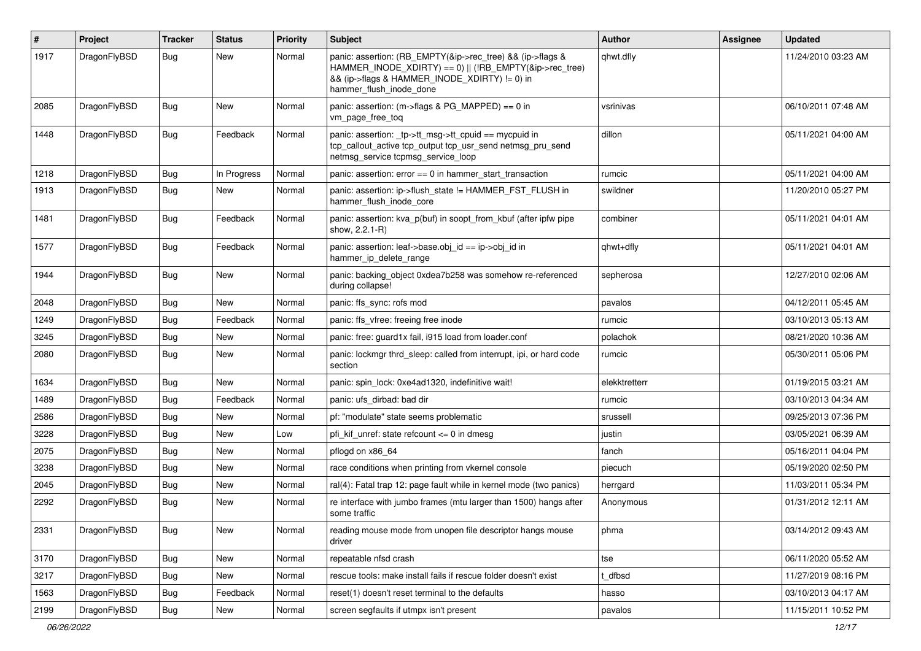| #    | Project      | <b>Tracker</b> | <b>Status</b> | <b>Priority</b> | Subject                                                                                                                                                                                           | <b>Author</b> | <b>Assignee</b> | <b>Updated</b>      |
|------|--------------|----------------|---------------|-----------------|---------------------------------------------------------------------------------------------------------------------------------------------------------------------------------------------------|---------------|-----------------|---------------------|
| 1917 | DragonFlyBSD | Bug            | <b>New</b>    | Normal          | panic: assertion: (RB_EMPTY(&ip->rec_tree) && (ip->flags &<br>HAMMER_INODE_XDIRTY) == 0)    (!RB_EMPTY(&ip->rec_tree)<br>&& (ip->flags & HAMMER_INODE_XDIRTY) != 0) in<br>hammer flush inode done | qhwt.dfly     |                 | 11/24/2010 03:23 AM |
| 2085 | DragonFlyBSD | <b>Bug</b>     | New           | Normal          | panic: assertion: (m->flags & PG_MAPPED) == 0 in<br>vm_page_free_toq                                                                                                                              | vsrinivas     |                 | 06/10/2011 07:48 AM |
| 1448 | DragonFlyBSD | Bug            | Feedback      | Normal          | panic: assertion: tp->tt_msg->tt_cpuid == mycpuid in<br>tcp_callout_active tcp_output tcp_usr_send netmsg_pru_send<br>netmsg service tcpmsg service loop                                          | dillon        |                 | 05/11/2021 04:00 AM |
| 1218 | DragonFlyBSD | <b>Bug</b>     | In Progress   | Normal          | panic: assertion: error == 0 in hammer_start_transaction                                                                                                                                          | rumcic        |                 | 05/11/2021 04:00 AM |
| 1913 | DragonFlyBSD | <b>Bug</b>     | New           | Normal          | panic: assertion: ip->flush_state != HAMMER_FST_FLUSH in<br>hammer flush inode core                                                                                                               | swildner      |                 | 11/20/2010 05:27 PM |
| 1481 | DragonFlyBSD | Bug            | Feedback      | Normal          | panic: assertion: kva_p(buf) in soopt_from_kbuf (after ipfw pipe<br>show, 2.2.1-R)                                                                                                                | combiner      |                 | 05/11/2021 04:01 AM |
| 1577 | DragonFlyBSD | Bug            | Feedback      | Normal          | panic: assertion: leaf->base.obj_id == ip->obj_id in<br>hammer_ip_delete_range                                                                                                                    | qhwt+dfly     |                 | 05/11/2021 04:01 AM |
| 1944 | DragonFlyBSD | Bug            | <b>New</b>    | Normal          | panic: backing object 0xdea7b258 was somehow re-referenced<br>during collapse!                                                                                                                    | sepherosa     |                 | 12/27/2010 02:06 AM |
| 2048 | DragonFlyBSD | <b>Bug</b>     | <b>New</b>    | Normal          | panic: ffs_sync: rofs mod                                                                                                                                                                         | pavalos       |                 | 04/12/2011 05:45 AM |
| 1249 | DragonFlyBSD | <b>Bug</b>     | Feedback      | Normal          | panic: ffs vfree: freeing free inode                                                                                                                                                              | rumcic        |                 | 03/10/2013 05:13 AM |
| 3245 | DragonFlyBSD | <b>Bug</b>     | <b>New</b>    | Normal          | panic: free: quard1x fail, i915 load from loader.conf                                                                                                                                             | polachok      |                 | 08/21/2020 10:36 AM |
| 2080 | DragonFlyBSD | Bug            | New           | Normal          | panic: lockmgr thrd_sleep: called from interrupt, ipi, or hard code<br>section                                                                                                                    | rumcic        |                 | 05/30/2011 05:06 PM |
| 1634 | DragonFlyBSD | Bug            | <b>New</b>    | Normal          | panic: spin_lock: 0xe4ad1320, indefinitive wait!                                                                                                                                                  | elekktretterr |                 | 01/19/2015 03:21 AM |
| 1489 | DragonFlyBSD | <b>Bug</b>     | Feedback      | Normal          | panic: ufs dirbad: bad dir                                                                                                                                                                        | rumcic        |                 | 03/10/2013 04:34 AM |
| 2586 | DragonFlyBSD | <b>Bug</b>     | <b>New</b>    | Normal          | pf: "modulate" state seems problematic                                                                                                                                                            | srussell      |                 | 09/25/2013 07:36 PM |
| 3228 | DragonFlyBSD | <b>Bug</b>     | <b>New</b>    | Low             | pfi kif unref: state refcount $\leq$ 0 in dmesg                                                                                                                                                   | justin        |                 | 03/05/2021 06:39 AM |
| 2075 | DragonFlyBSD | <b>Bug</b>     | <b>New</b>    | Normal          | pflogd on x86 64                                                                                                                                                                                  | fanch         |                 | 05/16/2011 04:04 PM |
| 3238 | DragonFlyBSD | <b>Bug</b>     | <b>New</b>    | Normal          | race conditions when printing from vkernel console                                                                                                                                                | piecuch       |                 | 05/19/2020 02:50 PM |
| 2045 | DragonFlyBSD | <b>Bug</b>     | New           | Normal          | ral(4): Fatal trap 12: page fault while in kernel mode (two panics)                                                                                                                               | herrgard      |                 | 11/03/2011 05:34 PM |
| 2292 | DragonFlyBSD | <b>Bug</b>     | New           | Normal          | re interface with jumbo frames (mtu larger than 1500) hangs after<br>some traffic                                                                                                                 | Anonymous     |                 | 01/31/2012 12:11 AM |
| 2331 | DragonFlyBSD | <b>Bug</b>     | New           | Normal          | reading mouse mode from unopen file descriptor hangs mouse<br>driver                                                                                                                              | phma          |                 | 03/14/2012 09:43 AM |
| 3170 | DragonFlyBSD | <b>Bug</b>     | New           | Normal          | repeatable nfsd crash                                                                                                                                                                             | tse           |                 | 06/11/2020 05:52 AM |
| 3217 | DragonFlyBSD | <b>Bug</b>     | New           | Normal          | rescue tools: make install fails if rescue folder doesn't exist                                                                                                                                   | t_dfbsd       |                 | 11/27/2019 08:16 PM |
| 1563 | DragonFlyBSD | <b>Bug</b>     | Feedback      | Normal          | reset(1) doesn't reset terminal to the defaults                                                                                                                                                   | hasso         |                 | 03/10/2013 04:17 AM |
| 2199 | DragonFlyBSD | <b>Bug</b>     | New           | Normal          | screen segfaults if utmpx isn't present                                                                                                                                                           | pavalos       |                 | 11/15/2011 10:52 PM |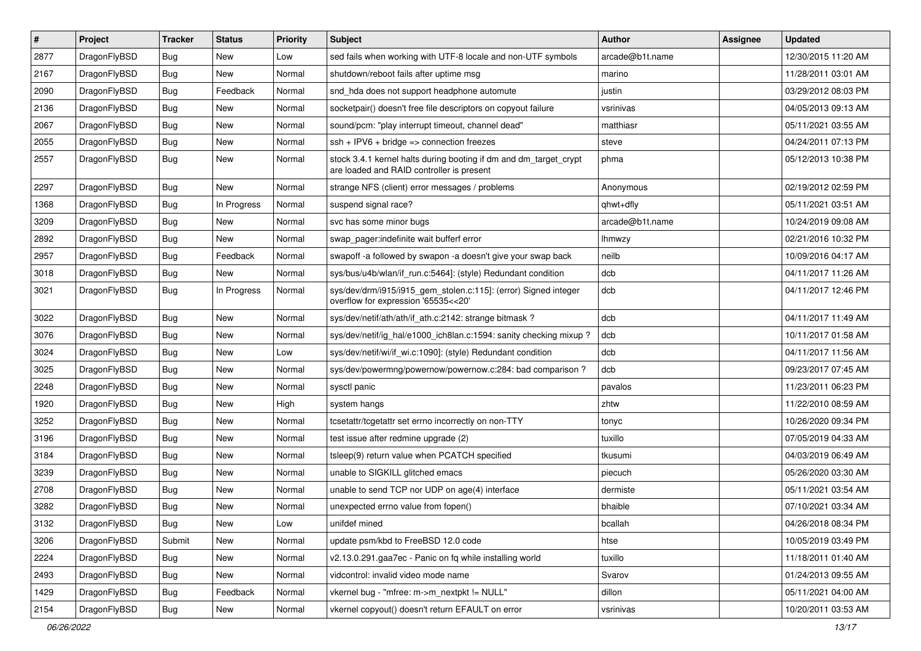| $\pmb{\#}$ | Project      | <b>Tracker</b> | <b>Status</b> | Priority | <b>Subject</b>                                                                                                 | <b>Author</b>   | Assignee | <b>Updated</b>      |
|------------|--------------|----------------|---------------|----------|----------------------------------------------------------------------------------------------------------------|-----------------|----------|---------------------|
| 2877       | DragonFlyBSD | Bug            | <b>New</b>    | Low      | sed fails when working with UTF-8 locale and non-UTF symbols                                                   | arcade@b1t.name |          | 12/30/2015 11:20 AM |
| 2167       | DragonFlyBSD | Bug            | <b>New</b>    | Normal   | shutdown/reboot fails after uptime msg                                                                         | marino          |          | 11/28/2011 03:01 AM |
| 2090       | DragonFlyBSD | Bug            | Feedback      | Normal   | snd hda does not support headphone automute                                                                    | justin          |          | 03/29/2012 08:03 PM |
| 2136       | DragonFlyBSD | Bug            | <b>New</b>    | Normal   | socketpair() doesn't free file descriptors on copyout failure                                                  | vsrinivas       |          | 04/05/2013 09:13 AM |
| 2067       | DragonFlyBSD | Bug            | <b>New</b>    | Normal   | sound/pcm: "play interrupt timeout, channel dead"                                                              | matthiasr       |          | 05/11/2021 03:55 AM |
| 2055       | DragonFlyBSD | Bug            | <b>New</b>    | Normal   | $ssh + IPV6 + bridge \Rightarrow connection freezes$                                                           | steve           |          | 04/24/2011 07:13 PM |
| 2557       | DragonFlyBSD | Bug            | <b>New</b>    | Normal   | stock 3.4.1 kernel halts during booting if dm and dm_target_crypt<br>are loaded and RAID controller is present | phma            |          | 05/12/2013 10:38 PM |
| 2297       | DragonFlyBSD | Bug            | <b>New</b>    | Normal   | strange NFS (client) error messages / problems                                                                 | Anonymous       |          | 02/19/2012 02:59 PM |
| 1368       | DragonFlyBSD | Bug            | In Progress   | Normal   | suspend signal race?                                                                                           | qhwt+dfly       |          | 05/11/2021 03:51 AM |
| 3209       | DragonFlyBSD | Bug            | <b>New</b>    | Normal   | svc has some minor bugs                                                                                        | arcade@b1t.name |          | 10/24/2019 09:08 AM |
| 2892       | DragonFlyBSD | Bug            | <b>New</b>    | Normal   | swap pager:indefinite wait bufferf error                                                                       | lhmwzy          |          | 02/21/2016 10:32 PM |
| 2957       | DragonFlyBSD | Bug            | Feedback      | Normal   | swapoff -a followed by swapon -a doesn't give your swap back                                                   | neilb           |          | 10/09/2016 04:17 AM |
| 3018       | DragonFlyBSD | Bug            | New           | Normal   | sys/bus/u4b/wlan/if_run.c:5464]: (style) Redundant condition                                                   | dcb             |          | 04/11/2017 11:26 AM |
| 3021       | DragonFlyBSD | Bug            | In Progress   | Normal   | sys/dev/drm/i915/i915_gem_stolen.c:115]: (error) Signed integer<br>overflow for expression '65535<<20'         | dcb             |          | 04/11/2017 12:46 PM |
| 3022       | DragonFlyBSD | Bug            | <b>New</b>    | Normal   | sys/dev/netif/ath/ath/if_ath.c:2142: strange bitmask?                                                          | dcb             |          | 04/11/2017 11:49 AM |
| 3076       | DragonFlyBSD | Bug            | <b>New</b>    | Normal   | sys/dev/netif/ig hal/e1000 ich8lan.c:1594: sanity checking mixup?                                              | dcb             |          | 10/11/2017 01:58 AM |
| 3024       | DragonFlyBSD | Bug            | <b>New</b>    | Low      | sys/dev/netif/wi/if_wi.c:1090]: (style) Redundant condition                                                    | dcb             |          | 04/11/2017 11:56 AM |
| 3025       | DragonFlyBSD | Bug            | <b>New</b>    | Normal   | sys/dev/powermng/powernow/powernow.c:284: bad comparison ?                                                     | dcb             |          | 09/23/2017 07:45 AM |
| 2248       | DragonFlyBSD | Bug            | <b>New</b>    | Normal   | sysctl panic                                                                                                   | pavalos         |          | 11/23/2011 06:23 PM |
| 1920       | DragonFlyBSD | Bug            | New           | High     | system hangs                                                                                                   | zhtw            |          | 11/22/2010 08:59 AM |
| 3252       | DragonFlyBSD | Bug            | <b>New</b>    | Normal   | tcsetattr/tcgetattr set errno incorrectly on non-TTY                                                           | tonyc           |          | 10/26/2020 09:34 PM |
| 3196       | DragonFlyBSD | Bug            | New           | Normal   | test issue after redmine upgrade (2)                                                                           | tuxillo         |          | 07/05/2019 04:33 AM |
| 3184       | DragonFlyBSD | Bug            | <b>New</b>    | Normal   | tsleep(9) return value when PCATCH specified                                                                   | tkusumi         |          | 04/03/2019 06:49 AM |
| 3239       | DragonFlyBSD | Bug            | <b>New</b>    | Normal   | unable to SIGKILL glitched emacs                                                                               | piecuch         |          | 05/26/2020 03:30 AM |
| 2708       | DragonFlyBSD | Bug            | New           | Normal   | unable to send TCP nor UDP on age(4) interface                                                                 | dermiste        |          | 05/11/2021 03:54 AM |
| 3282       | DragonFlyBSD | Bug            | <b>New</b>    | Normal   | unexpected errno value from fopen()                                                                            | bhaible         |          | 07/10/2021 03:34 AM |
| 3132       | DragonFlyBSD | Bug            | New           | Low      | unifdef mined                                                                                                  | bcallah         |          | 04/26/2018 08:34 PM |
| 3206       | DragonFlyBSD | Submit         | New           | Normal   | update psm/kbd to FreeBSD 12.0 code                                                                            | htse            |          | 10/05/2019 03:49 PM |
| 2224       | DragonFlyBSD | Bug            | New           | Normal   | v2.13.0.291.gaa7ec - Panic on fq while installing world                                                        | tuxillo         |          | 11/18/2011 01:40 AM |
| 2493       | DragonFlyBSD | <b>Bug</b>     | New           | Normal   | vidcontrol: invalid video mode name                                                                            | Svarov          |          | 01/24/2013 09:55 AM |
| 1429       | DragonFlyBSD | <b>Bug</b>     | Feedback      | Normal   | vkernel bug - "mfree: m->m_nextpkt != NULL"                                                                    | dillon          |          | 05/11/2021 04:00 AM |
| 2154       | DragonFlyBSD | Bug            | New           | Normal   | vkernel copyout() doesn't return EFAULT on error                                                               | vsrinivas       |          | 10/20/2011 03:53 AM |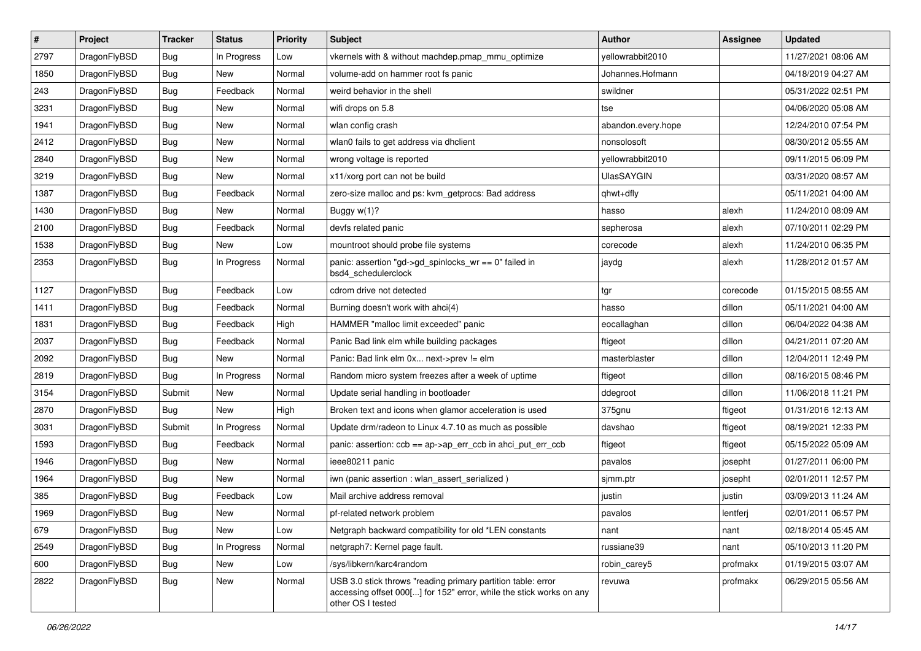| $\sharp$ | Project      | <b>Tracker</b> | <b>Status</b> | <b>Priority</b> | Subject                                                                                                                                                  | <b>Author</b>      | <b>Assignee</b> | <b>Updated</b>      |
|----------|--------------|----------------|---------------|-----------------|----------------------------------------------------------------------------------------------------------------------------------------------------------|--------------------|-----------------|---------------------|
| 2797     | DragonFlyBSD | Bug            | In Progress   | Low             | vkernels with & without machdep.pmap_mmu_optimize                                                                                                        | yellowrabbit2010   |                 | 11/27/2021 08:06 AM |
| 1850     | DragonFlyBSD | Bug            | New           | Normal          | volume-add on hammer root fs panic                                                                                                                       | Johannes.Hofmann   |                 | 04/18/2019 04:27 AM |
| 243      | DragonFlyBSD | <b>Bug</b>     | Feedback      | Normal          | weird behavior in the shell                                                                                                                              | swildner           |                 | 05/31/2022 02:51 PM |
| 3231     | DragonFlyBSD | Bug            | New           | Normal          | wifi drops on 5.8                                                                                                                                        | tse                |                 | 04/06/2020 05:08 AM |
| 1941     | DragonFlyBSD | Bug            | <b>New</b>    | Normal          | wlan config crash                                                                                                                                        | abandon.every.hope |                 | 12/24/2010 07:54 PM |
| 2412     | DragonFlyBSD | Bug            | New           | Normal          | wlan0 fails to get address via dhclient                                                                                                                  | nonsolosoft        |                 | 08/30/2012 05:55 AM |
| 2840     | DragonFlyBSD | Bug            | <b>New</b>    | Normal          | wrong voltage is reported                                                                                                                                | yellowrabbit2010   |                 | 09/11/2015 06:09 PM |
| 3219     | DragonFlyBSD | <b>Bug</b>     | New           | Normal          | x11/xorg port can not be build                                                                                                                           | <b>UlasSAYGIN</b>  |                 | 03/31/2020 08:57 AM |
| 1387     | DragonFlyBSD | <b>Bug</b>     | Feedback      | Normal          | zero-size malloc and ps: kvm_getprocs: Bad address                                                                                                       | qhwt+dfly          |                 | 05/11/2021 04:00 AM |
| 1430     | DragonFlyBSD | Bug            | New           | Normal          | Buggy $w(1)$ ?                                                                                                                                           | hasso              | alexh           | 11/24/2010 08:09 AM |
| 2100     | DragonFlyBSD | <b>Bug</b>     | Feedback      | Normal          | devfs related panic                                                                                                                                      | sepherosa          | alexh           | 07/10/2011 02:29 PM |
| 1538     | DragonFlyBSD | <b>Bug</b>     | <b>New</b>    | Low             | mountroot should probe file systems                                                                                                                      | corecode           | alexh           | 11/24/2010 06:35 PM |
| 2353     | DragonFlyBSD | Bug            | In Progress   | Normal          | panic: assertion "gd->gd_spinlocks_wr == 0" failed in<br>bsd4_schedulerclock                                                                             | jaydg              | alexh           | 11/28/2012 01:57 AM |
| 1127     | DragonFlyBSD | Bug            | Feedback      | Low             | cdrom drive not detected                                                                                                                                 | tgr                | corecode        | 01/15/2015 08:55 AM |
| 1411     | DragonFlyBSD | <b>Bug</b>     | Feedback      | Normal          | Burning doesn't work with ahci(4)                                                                                                                        | hasso              | dillon          | 05/11/2021 04:00 AM |
| 1831     | DragonFlyBSD | <b>Bug</b>     | Feedback      | High            | HAMMER "malloc limit exceeded" panic                                                                                                                     | eocallaghan        | dillon          | 06/04/2022 04:38 AM |
| 2037     | DragonFlyBSD | Bug            | Feedback      | Normal          | Panic Bad link elm while building packages                                                                                                               | ftigeot            | dillon          | 04/21/2011 07:20 AM |
| 2092     | DragonFlyBSD | Bug            | New           | Normal          | Panic: Bad link elm 0x next->prev != elm                                                                                                                 | masterblaster      | dillon          | 12/04/2011 12:49 PM |
| 2819     | DragonFlyBSD | Bug            | In Progress   | Normal          | Random micro system freezes after a week of uptime                                                                                                       | ftigeot            | dillon          | 08/16/2015 08:46 PM |
| 3154     | DragonFlyBSD | Submit         | New           | Normal          | Update serial handling in bootloader                                                                                                                     | ddegroot           | dillon          | 11/06/2018 11:21 PM |
| 2870     | DragonFlyBSD | Bug            | <b>New</b>    | High            | Broken text and icons when glamor acceleration is used                                                                                                   | 375gnu             | ftigeot         | 01/31/2016 12:13 AM |
| 3031     | DragonFlyBSD | Submit         | In Progress   | Normal          | Update drm/radeon to Linux 4.7.10 as much as possible                                                                                                    | davshao            | ftigeot         | 08/19/2021 12:33 PM |
| 1593     | DragonFlyBSD | <b>Bug</b>     | Feedback      | Normal          | panic: assertion: $ccb = ap > ap$ err $ccb$ in ahci put err $ccb$                                                                                        | ftigeot            | ftigeot         | 05/15/2022 05:09 AM |
| 1946     | DragonFlyBSD | Bug            | New           | Normal          | ieee80211 panic                                                                                                                                          | pavalos            | josepht         | 01/27/2011 06:00 PM |
| 1964     | DragonFlyBSD | <b>Bug</b>     | New           | Normal          | iwn (panic assertion : wlan_assert_serialized)                                                                                                           | sjmm.ptr           | josepht         | 02/01/2011 12:57 PM |
| 385      | DragonFlyBSD | Bug            | Feedback      | Low             | Mail archive address removal                                                                                                                             | justin             | justin          | 03/09/2013 11:24 AM |
| 1969     | DragonFlyBSD | <b>Bug</b>     | New           | Normal          | pf-related network problem                                                                                                                               | pavalos            | lentferj        | 02/01/2011 06:57 PM |
| 679      | DragonFlyBSD | <b>Bug</b>     | New           | Low             | Netgraph backward compatibility for old *LEN constants                                                                                                   | nant               | nant            | 02/18/2014 05:45 AM |
| 2549     | DragonFlyBSD | <b>Bug</b>     | In Progress   | Normal          | netgraph7: Kernel page fault.                                                                                                                            | russiane39         | nant            | 05/10/2013 11:20 PM |
| 600      | DragonFlyBSD | <b>Bug</b>     | New           | Low             | /sys/libkern/karc4random                                                                                                                                 | robin_carey5       | profmakx        | 01/19/2015 03:07 AM |
| 2822     | DragonFlyBSD | <b>Bug</b>     | New           | Normal          | USB 3.0 stick throws "reading primary partition table: error<br>accessing offset 000[] for 152" error, while the stick works on any<br>other OS I tested | revuwa             | profmakx        | 06/29/2015 05:56 AM |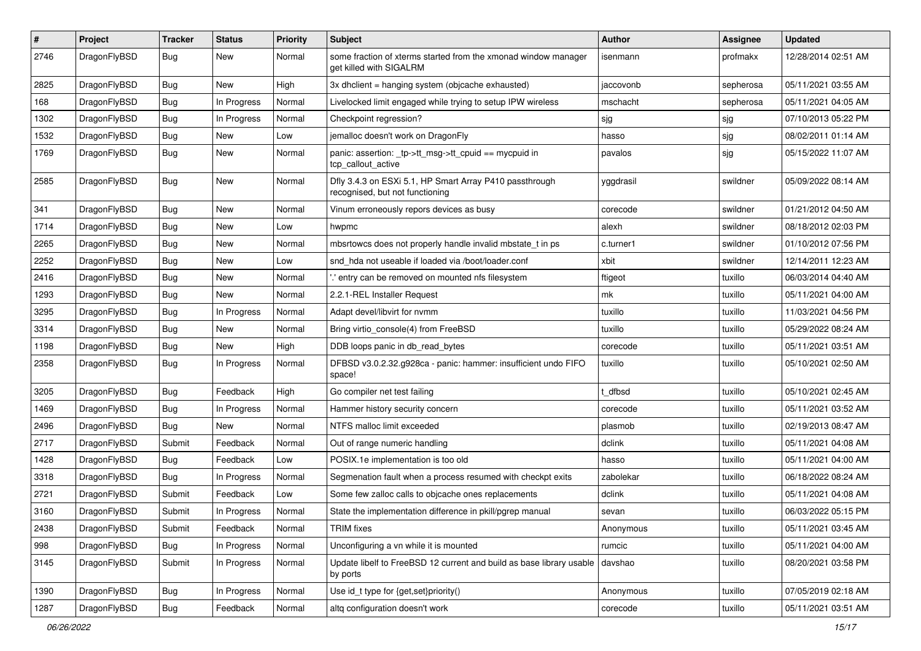| ∦    | Project      | <b>Tracker</b> | <b>Status</b> | <b>Priority</b> | <b>Subject</b>                                                                             | <b>Author</b> | <b>Assignee</b> | <b>Updated</b>      |
|------|--------------|----------------|---------------|-----------------|--------------------------------------------------------------------------------------------|---------------|-----------------|---------------------|
| 2746 | DragonFlyBSD | Bug            | <b>New</b>    | Normal          | some fraction of xterms started from the xmonad window manager<br>get killed with SIGALRM  | isenmann      | profmakx        | 12/28/2014 02:51 AM |
| 2825 | DragonFlyBSD | <b>Bug</b>     | <b>New</b>    | High            | $3x$ dhclient = hanging system (objcache exhausted)                                        | iaccovonb     | sepherosa       | 05/11/2021 03:55 AM |
| 168  | DragonFlyBSD | <b>Bug</b>     | In Progress   | Normal          | Livelocked limit engaged while trying to setup IPW wireless                                | mschacht      | sepherosa       | 05/11/2021 04:05 AM |
| 1302 | DragonFlyBSD | <b>Bug</b>     | In Progress   | Normal          | Checkpoint regression?                                                                     | sjg           | sjg             | 07/10/2013 05:22 PM |
| 1532 | DragonFlyBSD | <b>Bug</b>     | New           | Low             | jemalloc doesn't work on DragonFly                                                         | hasso         | sjg             | 08/02/2011 01:14 AM |
| 1769 | DragonFlyBSD | <b>Bug</b>     | <b>New</b>    | Normal          | panic: assertion: _tp->tt_msg->tt_cpuid == mycpuid in<br>tcp callout active                | pavalos       | sjg             | 05/15/2022 11:07 AM |
| 2585 | DragonFlyBSD | Bug            | <b>New</b>    | Normal          | Dfly 3.4.3 on ESXi 5.1, HP Smart Array P410 passthrough<br>recognised, but not functioning | yggdrasil     | swildner        | 05/09/2022 08:14 AM |
| 341  | DragonFlyBSD | <b>Bug</b>     | <b>New</b>    | Normal          | Vinum erroneously repors devices as busy                                                   | corecode      | swildner        | 01/21/2012 04:50 AM |
| 1714 | DragonFlyBSD | <b>Bug</b>     | <b>New</b>    | Low             | hwpmc                                                                                      | alexh         | swildner        | 08/18/2012 02:03 PM |
| 2265 | DragonFlyBSD | <b>Bug</b>     | <b>New</b>    | Normal          | mbsrtowcs does not properly handle invalid mbstate t in ps                                 | c.turner1     | swildner        | 01/10/2012 07:56 PM |
| 2252 | DragonFlyBSD | <b>Bug</b>     | <b>New</b>    | Low             | snd hda not useable if loaded via /boot/loader.conf                                        | xbit          | swildner        | 12/14/2011 12:23 AM |
| 2416 | DragonFlyBSD | Bug            | <b>New</b>    | Normal          | ".' entry can be removed on mounted nfs filesystem                                         | ftigeot       | tuxillo         | 06/03/2014 04:40 AM |
| 1293 | DragonFlyBSD | <b>Bug</b>     | New           | Normal          | 2.2.1-REL Installer Request                                                                | mk            | tuxillo         | 05/11/2021 04:00 AM |
| 3295 | DragonFlyBSD | <b>Bug</b>     | In Progress   | Normal          | Adapt devel/libvirt for nvmm                                                               | tuxillo       | tuxillo         | 11/03/2021 04:56 PM |
| 3314 | DragonFlyBSD | Bug            | <b>New</b>    | Normal          | Bring virtio console(4) from FreeBSD                                                       | tuxillo       | tuxillo         | 05/29/2022 08:24 AM |
| 1198 | DragonFlyBSD | <b>Bug</b>     | <b>New</b>    | High            | DDB loops panic in db read bytes                                                           | corecode      | tuxillo         | 05/11/2021 03:51 AM |
| 2358 | DragonFlyBSD | Bug            | In Progress   | Normal          | DFBSD v3.0.2.32.g928ca - panic: hammer: insufficient undo FIFO<br>space!                   | tuxillo       | tuxillo         | 05/10/2021 02:50 AM |
| 3205 | DragonFlyBSD | <b>Bug</b>     | Feedback      | High            | Go compiler net test failing                                                               | dfbsd         | tuxillo         | 05/10/2021 02:45 AM |
| 1469 | DragonFlyBSD | Bug            | In Progress   | Normal          | Hammer history security concern                                                            | corecode      | tuxillo         | 05/11/2021 03:52 AM |
| 2496 | DragonFlyBSD | Bug            | New           | Normal          | NTFS malloc limit exceeded                                                                 | plasmob       | tuxillo         | 02/19/2013 08:47 AM |
| 2717 | DragonFlyBSD | Submit         | Feedback      | Normal          | Out of range numeric handling                                                              | dclink        | tuxillo         | 05/11/2021 04:08 AM |
| 1428 | DragonFlyBSD | <b>Bug</b>     | Feedback      | Low             | POSIX.1e implementation is too old                                                         | hasso         | tuxillo         | 05/11/2021 04:00 AM |
| 3318 | DragonFlyBSD | <b>Bug</b>     | In Progress   | Normal          | Segmenation fault when a process resumed with checkpt exits                                | zabolekar     | tuxillo         | 06/18/2022 08:24 AM |
| 2721 | DragonFlyBSD | Submit         | Feedback      | Low             | Some few zalloc calls to objcache ones replacements                                        | dclink        | tuxillo         | 05/11/2021 04:08 AM |
| 3160 | DragonFlyBSD | Submit         | In Progress   | Normal          | State the implementation difference in pkill/pgrep manual                                  | sevan         | tuxillo         | 06/03/2022 05:15 PM |
| 2438 | DragonFlyBSD | Submit         | Feedback      | Normal          | <b>TRIM</b> fixes                                                                          | Anonymous     | tuxillo         | 05/11/2021 03:45 AM |
| 998  | DragonFlyBSD | <b>Bug</b>     | In Progress   | Normal          | Unconfiguring a vn while it is mounted                                                     | rumcic        | tuxillo         | 05/11/2021 04:00 AM |
| 3145 | DragonFlyBSD | Submit         | In Progress   | Normal          | Update libelf to FreeBSD 12 current and build as base library usable<br>by ports           | davshao       | tuxillo         | 08/20/2021 03:58 PM |
| 1390 | DragonFlyBSD | Bug            | In Progress   | Normal          | Use id_t type for {get,set}priority()                                                      | Anonymous     | tuxillo         | 07/05/2019 02:18 AM |
| 1287 | DragonFlyBSD | <b>Bug</b>     | Feedback      | Normal          | altq configuration doesn't work                                                            | corecode      | tuxillo         | 05/11/2021 03:51 AM |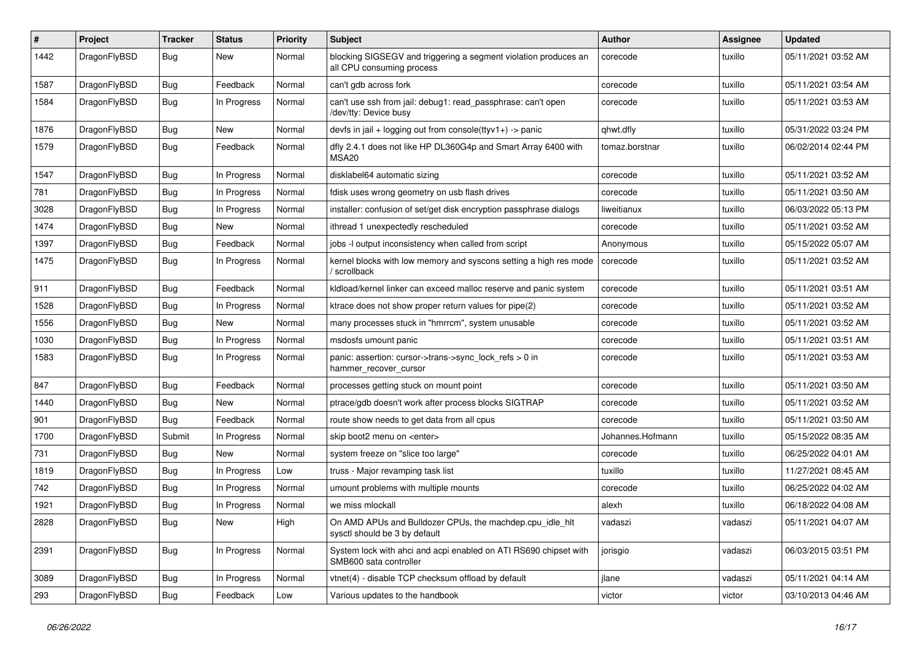| $\#$ | Project      | <b>Tracker</b> | <b>Status</b> | <b>Priority</b> | <b>Subject</b>                                                                               | <b>Author</b>    | Assignee | <b>Updated</b>      |
|------|--------------|----------------|---------------|-----------------|----------------------------------------------------------------------------------------------|------------------|----------|---------------------|
| 1442 | DragonFlyBSD | Bug            | New           | Normal          | blocking SIGSEGV and triggering a segment violation produces an<br>all CPU consuming process | corecode         | tuxillo  | 05/11/2021 03:52 AM |
| 1587 | DragonFlyBSD | Bug            | Feedback      | Normal          | can't gdb across fork                                                                        | corecode         | tuxillo  | 05/11/2021 03:54 AM |
| 1584 | DragonFlyBSD | Bug            | In Progress   | Normal          | can't use ssh from jail: debug1: read_passphrase: can't open<br>/dev/tty: Device busy        | corecode         | tuxillo  | 05/11/2021 03:53 AM |
| 1876 | DragonFlyBSD | <b>Bug</b>     | New           | Normal          | devfs in jail + logging out from console(ttyv1+) -> panic                                    | qhwt.dfly        | tuxillo  | 05/31/2022 03:24 PM |
| 1579 | DragonFlyBSD | Bug            | Feedback      | Normal          | dfly 2.4.1 does not like HP DL360G4p and Smart Array 6400 with<br>MSA20                      | tomaz.borstnar   | tuxillo  | 06/02/2014 02:44 PM |
| 1547 | DragonFlyBSD | Bug            | In Progress   | Normal          | disklabel64 automatic sizing                                                                 | corecode         | tuxillo  | 05/11/2021 03:52 AM |
| 781  | DragonFlyBSD | Bug            | In Progress   | Normal          | fdisk uses wrong geometry on usb flash drives                                                | corecode         | tuxillo  | 05/11/2021 03:50 AM |
| 3028 | DragonFlyBSD | Bug            | In Progress   | Normal          | installer: confusion of set/get disk encryption passphrase dialogs                           | liweitianux      | tuxillo  | 06/03/2022 05:13 PM |
| 1474 | DragonFlyBSD | Bug            | New           | Normal          | ithread 1 unexpectedly rescheduled                                                           | corecode         | tuxillo  | 05/11/2021 03:52 AM |
| 1397 | DragonFlyBSD | <b>Bug</b>     | Feedback      | Normal          | jobs -I output inconsistency when called from script                                         | Anonymous        | tuxillo  | 05/15/2022 05:07 AM |
| 1475 | DragonFlyBSD | <b>Bug</b>     | In Progress   | Normal          | kernel blocks with low memory and syscons setting a high res mode<br>/ scrollback            | corecode         | tuxillo  | 05/11/2021 03:52 AM |
| 911  | DragonFlyBSD | <b>Bug</b>     | Feedback      | Normal          | kldload/kernel linker can exceed malloc reserve and panic system                             | corecode         | tuxillo  | 05/11/2021 03:51 AM |
| 1528 | DragonFlyBSD | <b>Bug</b>     | In Progress   | Normal          | ktrace does not show proper return values for pipe(2)                                        | corecode         | tuxillo  | 05/11/2021 03:52 AM |
| 1556 | DragonFlyBSD | Bug            | New           | Normal          | many processes stuck in "hmrrcm", system unusable                                            | corecode         | tuxillo  | 05/11/2021 03:52 AM |
| 1030 | DragonFlyBSD | Bug            | In Progress   | Normal          | msdosfs umount panic                                                                         | corecode         | tuxillo  | 05/11/2021 03:51 AM |
| 1583 | DragonFlyBSD | <b>Bug</b>     | In Progress   | Normal          | panic: assertion: cursor->trans->sync_lock_refs > 0 in<br>hammer_recover_cursor              | corecode         | tuxillo  | 05/11/2021 03:53 AM |
| 847  | DragonFlyBSD | Bug            | Feedback      | Normal          | processes getting stuck on mount point                                                       | corecode         | tuxillo  | 05/11/2021 03:50 AM |
| 1440 | DragonFlyBSD | <b>Bug</b>     | New           | Normal          | ptrace/gdb doesn't work after process blocks SIGTRAP                                         | corecode         | tuxillo  | 05/11/2021 03:52 AM |
| 901  | DragonFlyBSD | <b>Bug</b>     | Feedback      | Normal          | route show needs to get data from all cpus                                                   | corecode         | tuxillo  | 05/11/2021 03:50 AM |
| 1700 | DragonFlyBSD | Submit         | In Progress   | Normal          | skip boot2 menu on <enter></enter>                                                           | Johannes.Hofmann | tuxillo  | 05/15/2022 08:35 AM |
| 731  | DragonFlyBSD | <b>Bug</b>     | New           | Normal          | system freeze on "slice too large"                                                           | corecode         | tuxillo  | 06/25/2022 04:01 AM |
| 1819 | DragonFlyBSD | Bug            | In Progress   | Low             | truss - Major revamping task list                                                            | tuxillo          | tuxillo  | 11/27/2021 08:45 AM |
| 742  | DragonFlyBSD | <b>Bug</b>     | In Progress   | Normal          | umount problems with multiple mounts                                                         | corecode         | tuxillo  | 06/25/2022 04:02 AM |
| 1921 | DragonFlyBSD | Bug            | In Progress   | Normal          | we miss mlockall                                                                             | alexh            | tuxillo  | 06/18/2022 04:08 AM |
| 2828 | DragonFlyBSD | <b>Bug</b>     | New           | High            | On AMD APUs and Bulldozer CPUs, the machdep.cpu_idle_hlt<br>sysctl should be 3 by default    | vadaszi          | vadaszi  | 05/11/2021 04:07 AM |
| 2391 | DragonFlyBSD | <b>Bug</b>     | In Progress   | Normal          | System lock with ahci and acpi enabled on ATI RS690 chipset with<br>SMB600 sata controller   | jorisgio         | vadaszi  | 06/03/2015 03:51 PM |
| 3089 | DragonFlyBSD | <b>Bug</b>     | In Progress   | Normal          | vtnet(4) - disable TCP checksum offload by default                                           | jlane            | vadaszi  | 05/11/2021 04:14 AM |
| 293  | DragonFlyBSD | <b>Bug</b>     | Feedback      | Low             | Various updates to the handbook                                                              | victor           | victor   | 03/10/2013 04:46 AM |